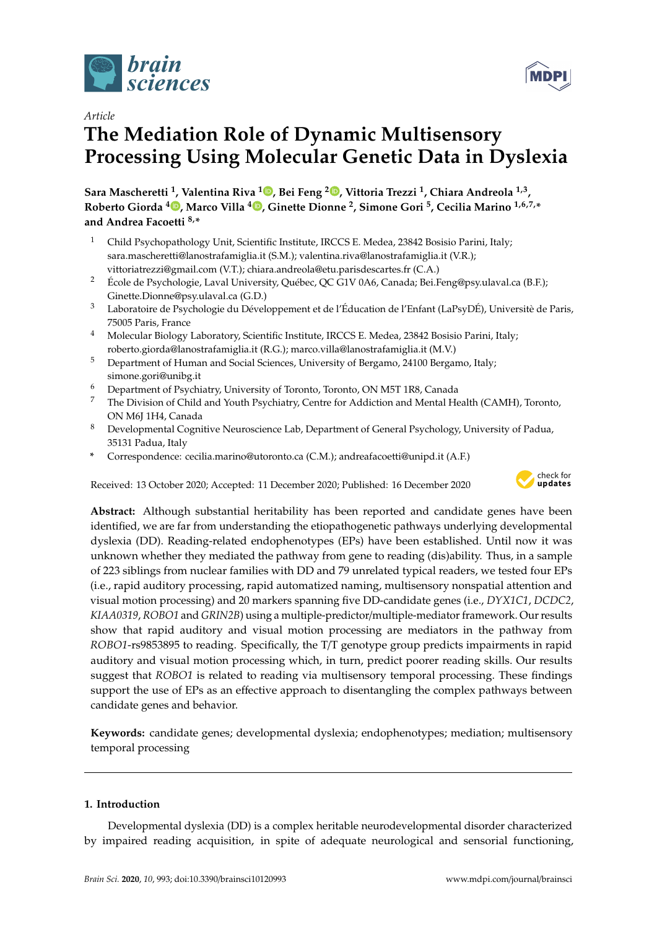



# **The Mediation Role of Dynamic Multisensory Processing Using Molecular Genetic Data in Dyslexia**

**Sara Mascheretti <sup>1</sup> , Valentina Riva [1](https://orcid.org/0000-0001-7959-0354) , Bei Feng <sup>2</sup> [,](https://orcid.org/0000-0002-4593-3483) Vittoria Trezzi <sup>1</sup> , Chiara Andreola 1,3 , Roberto Giorda [4](https://orcid.org/0000-0001-8175-9606) , Marco Villa <sup>4</sup> [,](https://orcid.org/0000-0001-5300-1590) Ginette Dionne <sup>2</sup> , Simone Gori <sup>5</sup> , Cecilia Marino 1,6,7,\* and Andrea Facoetti 8,\***

- <sup>1</sup> Child Psychopathology Unit, Scientific Institute, IRCCS E. Medea, 23842 Bosisio Parini, Italy; sara.mascheretti@lanostrafamiglia.it (S.M.); valentina.riva@lanostrafamiglia.it (V.R.); vittoriatrezzi@gmail.com (V.T.); chiara.andreola@etu.parisdescartes.fr (C.A.)
- <sup>2</sup> École de Psychologie, Laval University, Québec, QC G1V 0A6, Canada; Bei.Feng@psy.ulaval.ca (B.F.); Ginette.Dionne@psy.ulaval.ca (G.D.)
- <sup>3</sup> Laboratoire de Psychologie du Développement et de l'Éducation de l'Enfant (LaPsyDÉ), Universitè de Paris, 75005 Paris, France
- <sup>4</sup> Molecular Biology Laboratory, Scientific Institute, IRCCS E. Medea, 23842 Bosisio Parini, Italy; roberto.giorda@lanostrafamiglia.it (R.G.); marco.villa@lanostrafamiglia.it (M.V.)
- <sup>5</sup> Department of Human and Social Sciences, University of Bergamo, 24100 Bergamo, Italy; simone.gori@unibg.it
- <sup>6</sup> Department of Psychiatry, University of Toronto, Toronto, ON M5T 1R8, Canada<br><sup>7</sup> The Division of Child and Youth Bayebistay Contra for Addistion and Montal H
- <sup>7</sup> The Division of Child and Youth Psychiatry, Centre for Addiction and Mental Health (CAMH), Toronto, ON M6J 1H4, Canada
- <sup>8</sup> Developmental Cognitive Neuroscience Lab, Department of General Psychology, University of Padua, 35131 Padua, Italy
- **\*** Correspondence: cecilia.marino@utoronto.ca (C.M.); andreafacoetti@unipd.it (A.F.)

Received: 13 October 2020; Accepted: 11 December 2020; Published: 16 December 2020



**Abstract:** Although substantial heritability has been reported and candidate genes have been identified, we are far from understanding the etiopathogenetic pathways underlying developmental dyslexia (DD). Reading-related endophenotypes (EPs) have been established. Until now it was unknown whether they mediated the pathway from gene to reading (dis)ability. Thus, in a sample of 223 siblings from nuclear families with DD and 79 unrelated typical readers, we tested four EPs (i.e., rapid auditory processing, rapid automatized naming, multisensory nonspatial attention and visual motion processing) and 20 markers spanning five DD-candidate genes (i.e., *DYX1C1*, *DCDC2*, *KIAA0319*, *ROBO1* and *GRIN2B*) using a multiple-predictor/multiple-mediator framework. Our results show that rapid auditory and visual motion processing are mediators in the pathway from *ROBO1*-rs9853895 to reading. Specifically, the T/T genotype group predicts impairments in rapid auditory and visual motion processing which, in turn, predict poorer reading skills. Our results suggest that *ROBO1* is related to reading via multisensory temporal processing. These findings support the use of EPs as an effective approach to disentangling the complex pathways between candidate genes and behavior.

**Keywords:** candidate genes; developmental dyslexia; endophenotypes; mediation; multisensory temporal processing

#### **1. Introduction**

Developmental dyslexia (DD) is a complex heritable neurodevelopmental disorder characterized by impaired reading acquisition, in spite of adequate neurological and sensorial functioning,

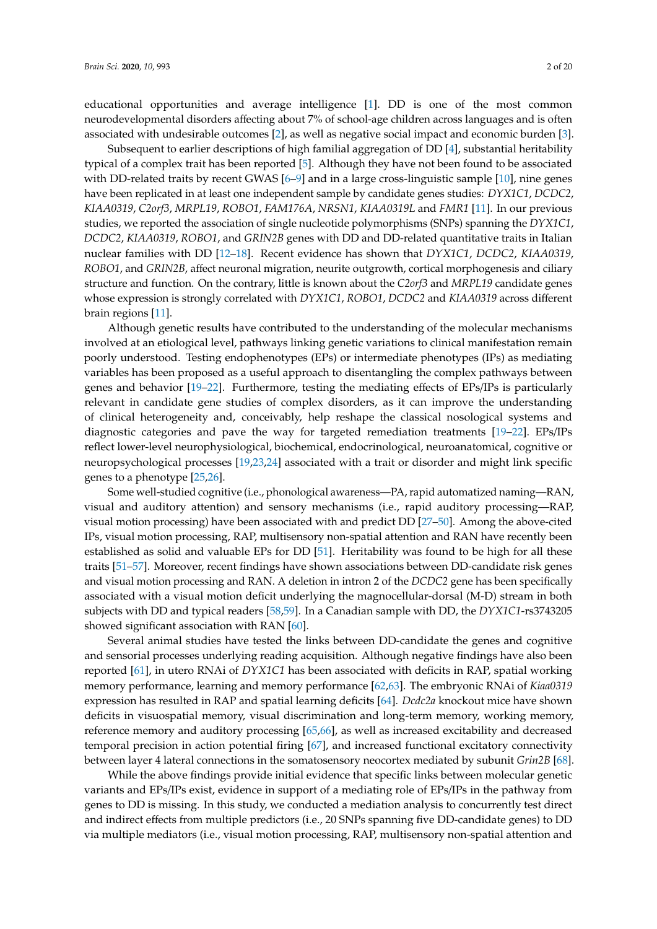educational opportunities and average intelligence [\[1\]](#page-12-0). DD is one of the most common neurodevelopmental disorders affecting about 7% of school-age children across languages and is often associated with undesirable outcomes [\[2\]](#page-12-1), as well as negative social impact and economic burden [\[3\]](#page-12-2).

Subsequent to earlier descriptions of high familial aggregation of DD [\[4\]](#page-12-3), substantial heritability typical of a complex trait has been reported [\[5\]](#page-12-4). Although they have not been found to be associated with DD-related traits by recent GWAS [\[6](#page-12-5)[–9\]](#page-12-6) and in a large cross-linguistic sample [\[10\]](#page-12-7), nine genes have been replicated in at least one independent sample by candidate genes studies: *DYX1C1*, *DCDC2*, *KIAA0319*, *C2orf3*, *MRPL19*, *ROBO1*, *FAM176A*, *NRSN1*, *KIAA0319L* and *FMR1* [\[11\]](#page-12-8). In our previous studies, we reported the association of single nucleotide polymorphisms (SNPs) spanning the *DYX1C1*, *DCDC2*, *KIAA0319*, *ROBO1*, and *GRIN2B* genes with DD and DD-related quantitative traits in Italian nuclear families with DD [\[12–](#page-12-9)[18\]](#page-13-0). Recent evidence has shown that *DYX1C1*, *DCDC2*, *KIAA0319*, *ROBO1*, and *GRIN2B*, affect neuronal migration, neurite outgrowth, cortical morphogenesis and ciliary structure and function. On the contrary, little is known about the *C2orf3* and *MRPL19* candidate genes whose expression is strongly correlated with *DYX1C1*, *ROBO1*, *DCDC2* and *KIAA0319* across different brain regions [\[11\]](#page-12-8).

Although genetic results have contributed to the understanding of the molecular mechanisms involved at an etiological level, pathways linking genetic variations to clinical manifestation remain poorly understood. Testing endophenotypes (EPs) or intermediate phenotypes (IPs) as mediating variables has been proposed as a useful approach to disentangling the complex pathways between genes and behavior [\[19–](#page-13-1)[22\]](#page-13-2). Furthermore, testing the mediating effects of EPs/IPs is particularly relevant in candidate gene studies of complex disorders, as it can improve the understanding of clinical heterogeneity and, conceivably, help reshape the classical nosological systems and diagnostic categories and pave the way for targeted remediation treatments [\[19](#page-13-1)[–22\]](#page-13-2). EPs/IPs reflect lower-level neurophysiological, biochemical, endocrinological, neuroanatomical, cognitive or neuropsychological processes [\[19,](#page-13-1)[23,](#page-13-3)[24\]](#page-13-4) associated with a trait or disorder and might link specific genes to a phenotype [\[25](#page-13-5)[,26\]](#page-13-6).

Some well-studied cognitive (i.e., phonological awareness—PA, rapid automatized naming—RAN, visual and auditory attention) and sensory mechanisms (i.e., rapid auditory processing—RAP, visual motion processing) have been associated with and predict DD [\[27](#page-13-7)[–50\]](#page-14-0). Among the above-cited IPs, visual motion processing, RAP, multisensory non-spatial attention and RAN have recently been established as solid and valuable EPs for DD [\[51\]](#page-14-1). Heritability was found to be high for all these traits [\[51](#page-14-1)[–57\]](#page-15-0). Moreover, recent findings have shown associations between DD-candidate risk genes and visual motion processing and RAN. A deletion in intron 2 of the *DCDC2* gene has been specifically associated with a visual motion deficit underlying the magnocellular-dorsal (M-D) stream in both subjects with DD and typical readers [\[58,](#page-15-1)[59\]](#page-15-2). In a Canadian sample with DD, the *DYX1C1*-rs3743205 showed significant association with RAN [\[60\]](#page-15-3).

Several animal studies have tested the links between DD-candidate the genes and cognitive and sensorial processes underlying reading acquisition. Although negative findings have also been reported [\[61\]](#page-15-4), in utero RNAi of *DYX1C1* has been associated with deficits in RAP, spatial working memory performance, learning and memory performance [\[62,](#page-15-5)[63\]](#page-15-6). The embryonic RNAi of *Kiaa0319* expression has resulted in RAP and spatial learning deficits [\[64\]](#page-15-7). *Dcdc2a* knockout mice have shown deficits in visuospatial memory, visual discrimination and long-term memory, working memory, reference memory and auditory processing [\[65,](#page-15-8)[66\]](#page-15-9), as well as increased excitability and decreased temporal precision in action potential firing [\[67\]](#page-15-10), and increased functional excitatory connectivity between layer 4 lateral connections in the somatosensory neocortex mediated by subunit *Grin2B* [\[68\]](#page-15-11).

While the above findings provide initial evidence that specific links between molecular genetic variants and EPs/IPs exist, evidence in support of a mediating role of EPs/IPs in the pathway from genes to DD is missing. In this study, we conducted a mediation analysis to concurrently test direct and indirect effects from multiple predictors (i.e., 20 SNPs spanning five DD-candidate genes) to DD via multiple mediators (i.e., visual motion processing, RAP, multisensory non-spatial attention and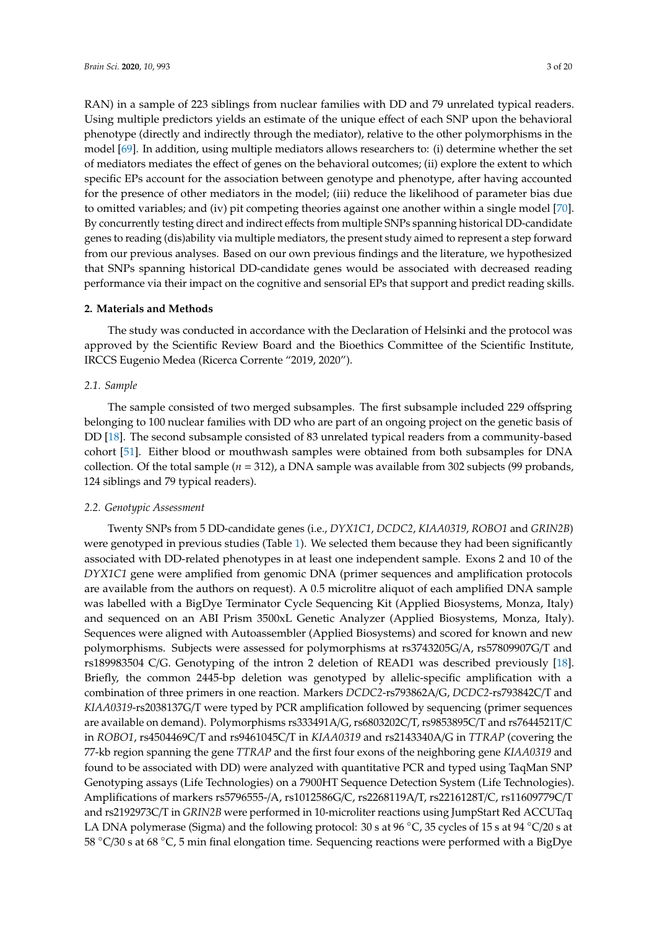RAN) in a sample of 223 siblings from nuclear families with DD and 79 unrelated typical readers. Using multiple predictors yields an estimate of the unique effect of each SNP upon the behavioral phenotype (directly and indirectly through the mediator), relative to the other polymorphisms in the model [\[69\]](#page-15-12). In addition, using multiple mediators allows researchers to: (i) determine whether the set of mediators mediates the effect of genes on the behavioral outcomes; (ii) explore the extent to which specific EPs account for the association between genotype and phenotype, after having accounted for the presence of other mediators in the model; (iii) reduce the likelihood of parameter bias due to omitted variables; and (iv) pit competing theories against one another within a single model [\[70\]](#page-15-13). By concurrently testing direct and indirect effects from multiple SNPs spanning historical DD-candidate genes to reading (dis)ability via multiple mediators, the present study aimed to represent a step forward from our previous analyses. Based on our own previous findings and the literature, we hypothesized that SNPs spanning historical DD-candidate genes would be associated with decreased reading performance via their impact on the cognitive and sensorial EPs that support and predict reading skills.

#### **2. Materials and Methods**

The study was conducted in accordance with the Declaration of Helsinki and the protocol was approved by the Scientific Review Board and the Bioethics Committee of the Scientific Institute, IRCCS Eugenio Medea (Ricerca Corrente "2019, 2020").

#### *2.1. Sample*

The sample consisted of two merged subsamples. The first subsample included 229 offspring belonging to 100 nuclear families with DD who are part of an ongoing project on the genetic basis of DD [\[18\]](#page-13-0). The second subsample consisted of 83 unrelated typical readers from a community-based cohort [\[51\]](#page-14-1). Either blood or mouthwash samples were obtained from both subsamples for DNA collection. Of the total sample  $(n = 312)$ , a DNA sample was available from 302 subjects (99 probands, 124 siblings and 79 typical readers).

#### *2.2. Genotypic Assessment*

Twenty SNPs from 5 DD-candidate genes (i.e., *DYX1C1*, *DCDC2*, *KIAA0319*, *ROBO1* and *GRIN2B*) were genotyped in previous studies (Table [1\)](#page-3-0). We selected them because they had been significantly associated with DD-related phenotypes in at least one independent sample. Exons 2 and 10 of the *DYX1C1* gene were amplified from genomic DNA (primer sequences and amplification protocols are available from the authors on request). A 0.5 microlitre aliquot of each amplified DNA sample was labelled with a BigDye Terminator Cycle Sequencing Kit (Applied Biosystems, Monza, Italy) and sequenced on an ABI Prism 3500xL Genetic Analyzer (Applied Biosystems, Monza, Italy). Sequences were aligned with Autoassembler (Applied Biosystems) and scored for known and new polymorphisms. Subjects were assessed for polymorphisms at rs3743205G/A, rs57809907G/T and rs189983504 C/G. Genotyping of the intron 2 deletion of READ1 was described previously [\[18\]](#page-13-0). Briefly, the common 2445-bp deletion was genotyped by allelic-specific amplification with a combination of three primers in one reaction. Markers *DCDC2*-rs793862A/G, *DCDC2*-rs793842C/T and *KIAA0319*-rs2038137G/T were typed by PCR amplification followed by sequencing (primer sequences are available on demand). Polymorphisms rs333491A/G, rs6803202C/T, rs9853895C/T and rs7644521T/C in *ROBO1*, rs4504469C/T and rs9461045C/T in *KIAA0319* and rs2143340A/G in *TTRAP* (covering the 77-kb region spanning the gene *TTRAP* and the first four exons of the neighboring gene *KIAA0319* and found to be associated with DD) were analyzed with quantitative PCR and typed using TaqMan SNP Genotyping assays (Life Technologies) on a 7900HT Sequence Detection System (Life Technologies). Amplifications of markers rs5796555-/A, rs1012586G/C, rs2268119A/T, rs2216128T/C, rs11609779C/T and rs2192973C/T in *GRIN2B* were performed in 10-microliter reactions using JumpStart Red ACCUTaq LA DNA polymerase (Sigma) and the following protocol: 30 s at 96 °C, 35 cycles of 15 s at 94 °C/20 s at 58 ◦C/30 s at 68 ◦C, 5 min final elongation time. Sequencing reactions were performed with a BigDye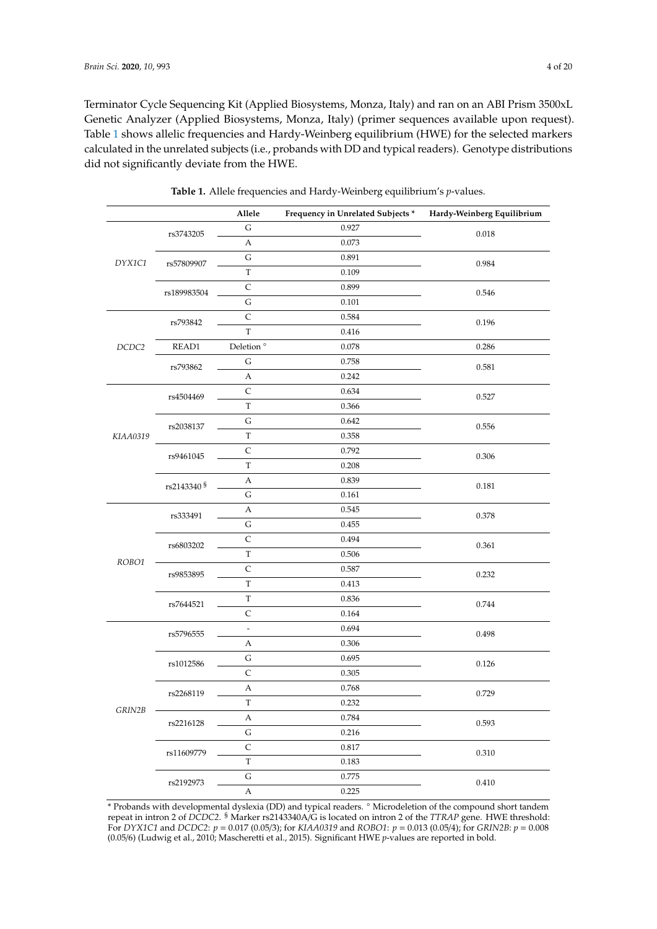Terminator Cycle Sequencing Kit (Applied Biosystems, Monza, Italy) and ran on an ABI Prism 3500xL Genetic Analyzer (Applied Biosystems, Monza, Italy) (primer sequences available upon request). Table [1](#page-3-0) shows allelic frequencies and Hardy-Weinberg equilibrium (HWE) for the selected markers calculated in the unrelated subjects (i.e., probands with DD and typical readers). Genotype distributions did not significantly deviate from the HWE.

<span id="page-3-0"></span>

|          |                        | Allele            | Frequency in Unrelated Subjects * | Hardy-Weinberg Equilibrium |  |
|----------|------------------------|-------------------|-----------------------------------|----------------------------|--|
| DYX1C1   | rs3743205              | $\mathsf G$       | 0.927                             | 0.018                      |  |
|          |                        | A                 | 0.073                             |                            |  |
|          | rs57809907             | ${\mathsf G}$     | 0.891                             | 0.984                      |  |
|          |                        | $\mathbf T$       | 0.109                             |                            |  |
|          | rs189983504            | $\mathsf{C}$      | 0.899                             | 0.546                      |  |
|          |                        | $\mathsf G$       | 0.101                             |                            |  |
| DCDC2    | rs793842               | $\mathsf{C}$      | 0.584                             | 0.196                      |  |
|          |                        | $\mathbf T$       | 0.416                             |                            |  |
|          | READ1                  | Deletion $^\circ$ | 0.078                             | 0.286                      |  |
|          | rs793862               | ${\bf G}$         | 0.758                             | 0.581                      |  |
|          |                        | A                 | 0.242                             |                            |  |
|          | rs4504469              | $\mathsf C$       | 0.634                             | 0.527                      |  |
|          |                        | $\mathbf T$       | 0.366                             |                            |  |
|          | rs2038137              | ${\bf G}$         | 0.642                             | 0.556                      |  |
| KIAA0319 |                        | $\mathbf T$       | 0.358                             |                            |  |
|          | rs9461045              | $\mathsf C$       | 0.792                             | 0.306                      |  |
|          |                        | T                 | 0.208                             |                            |  |
|          | rs2143340 <sup>§</sup> | А                 | 0.839                             | 0.181                      |  |
|          |                        | $\mathsf G$       | 0.161                             |                            |  |
|          | rs333491               | A                 | 0.545                             | 0.378                      |  |
|          |                        | G                 | 0.455                             |                            |  |
|          | rs6803202              | $\mathsf{C}$      | 0.494                             | 0.361                      |  |
|          |                        | $\mathbf T$       | 0.506                             |                            |  |
| ROBO1    | rs9853895              | $\mathsf C$       | 0.587                             | 0.232                      |  |
|          |                        | $\mathbf T$       | 0.413                             |                            |  |
|          | rs7644521              | $\mathbf T$       | 0.836                             | 0.744                      |  |
|          |                        | $\mathsf{C}$      | 0.164                             |                            |  |
| GRIN2B   | rs5796555              | $\frac{1}{2}$     | 0.694                             | 0.498                      |  |
|          |                        | А                 | 0.306                             |                            |  |
|          | rs1012586              | ${\bf G}$         | 0.695                             | 0.126                      |  |
|          |                        | $\mathsf{C}$      | 0.305                             |                            |  |
|          | rs2268119              | A                 | 0.768                             | 0.729                      |  |
|          |                        | $\mathbf T$       | 0.232                             |                            |  |
|          | rs2216128              | A                 | 0.784                             | 0.593                      |  |
|          |                        | ${\bf G}$         | 0.216                             |                            |  |
|          | rs11609779             | $\mathsf{C}$      | 0.817                             | 0.310                      |  |
|          |                        | $\mathbf T$       | 0.183                             |                            |  |
|          | rs2192973              | G                 | 0.775                             | 0.410                      |  |
|          |                        | $\boldsymbol{A}$  | 0.225                             |                            |  |

**Table 1.** Allele frequencies and Hardy-Weinberg equilibrium's *p*-values.

\* Probands with developmental dyslexia (DD) and typical readers. ◦ Microdeletion of the compound short tandem repeat in intron 2 of *DCDC2*. § Marker rs2143340A/G is located on intron 2 of the *TTRAP* gene. HWE threshold: For *DYX1C1* and *DCDC2*: *p* = 0.017 (0.05/3); for *KIAA0319* and *ROBO1*: *p* = 0.013 (0.05/4); for *GRIN2B*: *p* = 0.008 (0.05/6) (Ludwig et al., 2010; Mascheretti et al., 2015). Significant HWE *p*-values are reported in bold.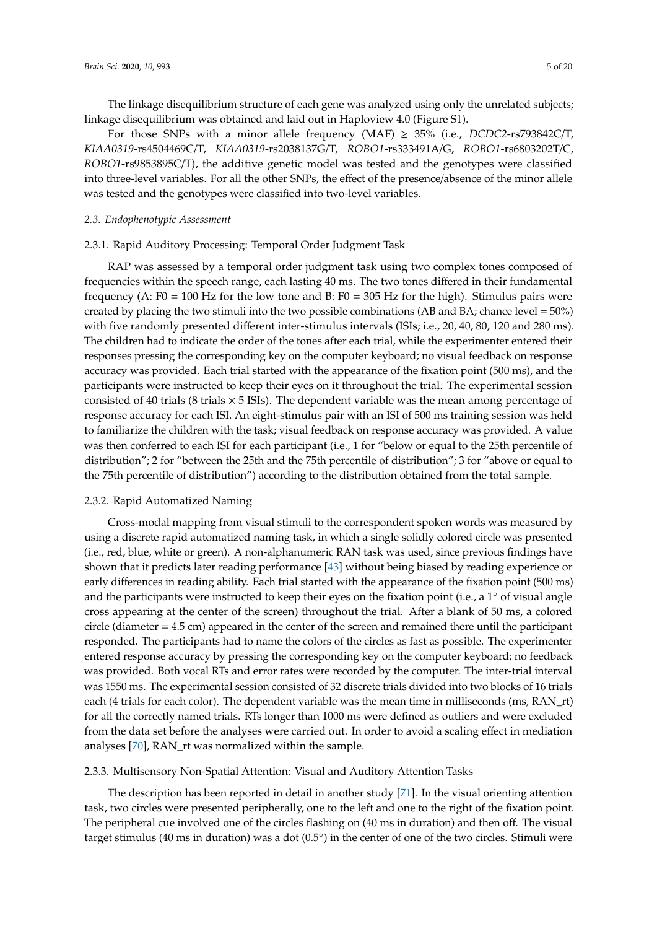The linkage disequilibrium structure of each gene was analyzed using only the unrelated subjects; linkage disequilibrium was obtained and laid out in Haploview 4.0 (Figure S1).

For those SNPs with a minor allele frequency (MAF) ≥ 35% (i.e., *DCDC2*-rs793842C/T, *KIAA0319*-rs4504469C/T, *KIAA0319*-rs2038137G/T, *ROBO1*-rs333491A/G, *ROBO1*-rs6803202T/C, *ROBO1*-rs9853895C/T), the additive genetic model was tested and the genotypes were classified into three-level variables. For all the other SNPs, the effect of the presence/absence of the minor allele was tested and the genotypes were classified into two-level variables.

#### *2.3. Endophenotypic Assessment*

#### 2.3.1. Rapid Auditory Processing: Temporal Order Judgment Task

RAP was assessed by a temporal order judgment task using two complex tones composed of frequencies within the speech range, each lasting 40 ms. The two tones differed in their fundamental frequency (A:  $F0 = 100$  Hz for the low tone and B:  $F0 = 305$  Hz for the high). Stimulus pairs were created by placing the two stimuli into the two possible combinations (AB and BA; chance level  $=50\%$ ) with five randomly presented different inter-stimulus intervals (ISIs; i.e., 20, 40, 80, 120 and 280 ms). The children had to indicate the order of the tones after each trial, while the experimenter entered their responses pressing the corresponding key on the computer keyboard; no visual feedback on response accuracy was provided. Each trial started with the appearance of the fixation point (500 ms), and the participants were instructed to keep their eyes on it throughout the trial. The experimental session consisted of 40 trials (8 trials  $\times$  5 ISIs). The dependent variable was the mean among percentage of response accuracy for each ISI. An eight-stimulus pair with an ISI of 500 ms training session was held to familiarize the children with the task; visual feedback on response accuracy was provided. A value was then conferred to each ISI for each participant (i.e., 1 for "below or equal to the 25th percentile of distribution"; 2 for "between the 25th and the 75th percentile of distribution"; 3 for "above or equal to the 75th percentile of distribution") according to the distribution obtained from the total sample.

#### 2.3.2. Rapid Automatized Naming

Cross-modal mapping from visual stimuli to the correspondent spoken words was measured by using a discrete rapid automatized naming task, in which a single solidly colored circle was presented (i.e., red, blue, white or green). A non-alphanumeric RAN task was used, since previous findings have shown that it predicts later reading performance [\[43\]](#page-14-2) without being biased by reading experience or early differences in reading ability. Each trial started with the appearance of the fixation point (500 ms) and the participants were instructed to keep their eyes on the fixation point (i.e., a 1° of visual angle cross appearing at the center of the screen) throughout the trial. After a blank of 50 ms, a colored circle (diameter  $= 4.5$  cm) appeared in the center of the screen and remained there until the participant responded. The participants had to name the colors of the circles as fast as possible. The experimenter entered response accuracy by pressing the corresponding key on the computer keyboard; no feedback was provided. Both vocal RTs and error rates were recorded by the computer. The inter-trial interval was 1550 ms. The experimental session consisted of 32 discrete trials divided into two blocks of 16 trials each (4 trials for each color). The dependent variable was the mean time in milliseconds (ms, RAN\_rt) for all the correctly named trials. RTs longer than 1000 ms were defined as outliers and were excluded from the data set before the analyses were carried out. In order to avoid a scaling effect in mediation analyses [\[70\]](#page-15-13), RAN\_rt was normalized within the sample.

#### 2.3.3. Multisensory Non-Spatial Attention: Visual and Auditory Attention Tasks

The description has been reported in detail in another study [\[71\]](#page-15-14). In the visual orienting attention task, two circles were presented peripherally, one to the left and one to the right of the fixation point. The peripheral cue involved one of the circles flashing on (40 ms in duration) and then off. The visual target stimulus (40 ms in duration) was a dot (0.5°) in the center of one of the two circles. Stimuli were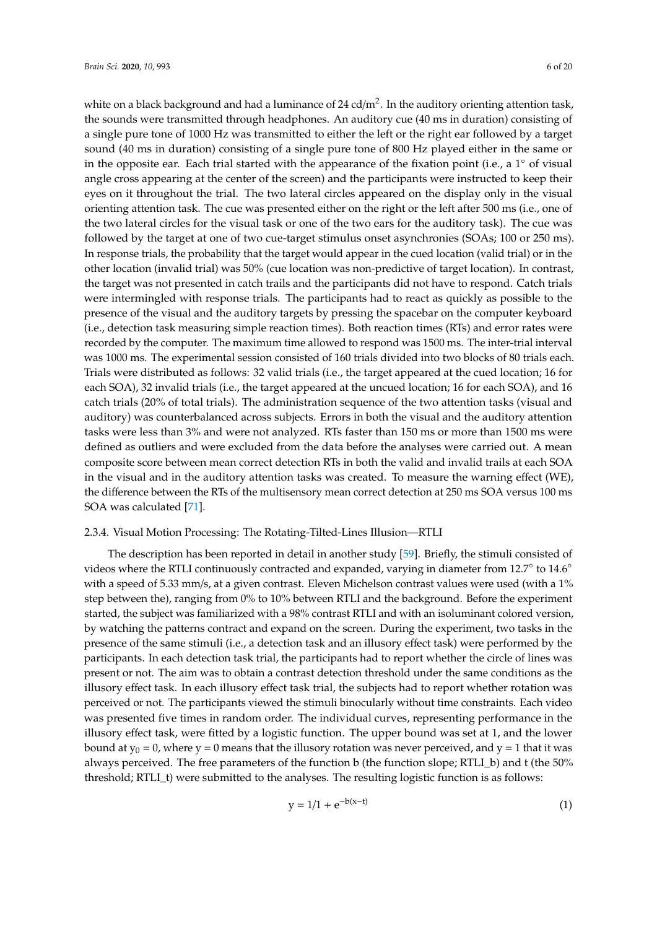white on a black background and had a luminance of 24 cd/m<sup>2</sup>. In the auditory orienting attention task, the sounds were transmitted through headphones. An auditory cue (40 ms in duration) consisting of a single pure tone of 1000 Hz was transmitted to either the left or the right ear followed by a target sound (40 ms in duration) consisting of a single pure tone of 800 Hz played either in the same or in the opposite ear. Each trial started with the appearance of the fixation point (i.e., a 1◦ of visual angle cross appearing at the center of the screen) and the participants were instructed to keep their eyes on it throughout the trial. The two lateral circles appeared on the display only in the visual orienting attention task. The cue was presented either on the right or the left after 500 ms (i.e., one of the two lateral circles for the visual task or one of the two ears for the auditory task). The cue was followed by the target at one of two cue-target stimulus onset asynchronies (SOAs; 100 or 250 ms). In response trials, the probability that the target would appear in the cued location (valid trial) or in the other location (invalid trial) was 50% (cue location was non-predictive of target location). In contrast, the target was not presented in catch trails and the participants did not have to respond. Catch trials were intermingled with response trials. The participants had to react as quickly as possible to the presence of the visual and the auditory targets by pressing the spacebar on the computer keyboard (i.e., detection task measuring simple reaction times). Both reaction times (RTs) and error rates were recorded by the computer. The maximum time allowed to respond was 1500 ms. The inter-trial interval was 1000 ms. The experimental session consisted of 160 trials divided into two blocks of 80 trials each. Trials were distributed as follows: 32 valid trials (i.e., the target appeared at the cued location; 16 for each SOA), 32 invalid trials (i.e., the target appeared at the uncued location; 16 for each SOA), and 16 catch trials (20% of total trials). The administration sequence of the two attention tasks (visual and auditory) was counterbalanced across subjects. Errors in both the visual and the auditory attention tasks were less than 3% and were not analyzed. RTs faster than 150 ms or more than 1500 ms were defined as outliers and were excluded from the data before the analyses were carried out. A mean composite score between mean correct detection RTs in both the valid and invalid trails at each SOA in the visual and in the auditory attention tasks was created. To measure the warning effect (WE), the difference between the RTs of the multisensory mean correct detection at 250 ms SOA versus 100 ms SOA was calculated [\[71\]](#page-15-14).

#### 2.3.4. Visual Motion Processing: The Rotating-Tilted-Lines Illusion—RTLI

The description has been reported in detail in another study [\[59\]](#page-15-2). Briefly, the stimuli consisted of videos where the RTLI continuously contracted and expanded, varying in diameter from 12.7° to 14.6° with a speed of 5.33 mm/s, at a given contrast. Eleven Michelson contrast values were used (with a 1%) step between the), ranging from 0% to 10% between RTLI and the background. Before the experiment started, the subject was familiarized with a 98% contrast RTLI and with an isoluminant colored version, by watching the patterns contract and expand on the screen. During the experiment, two tasks in the presence of the same stimuli (i.e., a detection task and an illusory effect task) were performed by the participants. In each detection task trial, the participants had to report whether the circle of lines was present or not. The aim was to obtain a contrast detection threshold under the same conditions as the illusory effect task. In each illusory effect task trial, the subjects had to report whether rotation was perceived or not. The participants viewed the stimuli binocularly without time constraints. Each video was presented five times in random order. The individual curves, representing performance in the illusory effect task, were fitted by a logistic function. The upper bound was set at 1, and the lower bound at  $y_0 = 0$ , where y = 0 means that the illusory rotation was never perceived, and y = 1 that it was always perceived. The free parameters of the function b (the function slope; RTLI\_b) and t (the 50% threshold; RTLI\_t) were submitted to the analyses. The resulting logistic function is as follows:

$$
y = 1/1 + e^{-b(x-t)}
$$
 (1)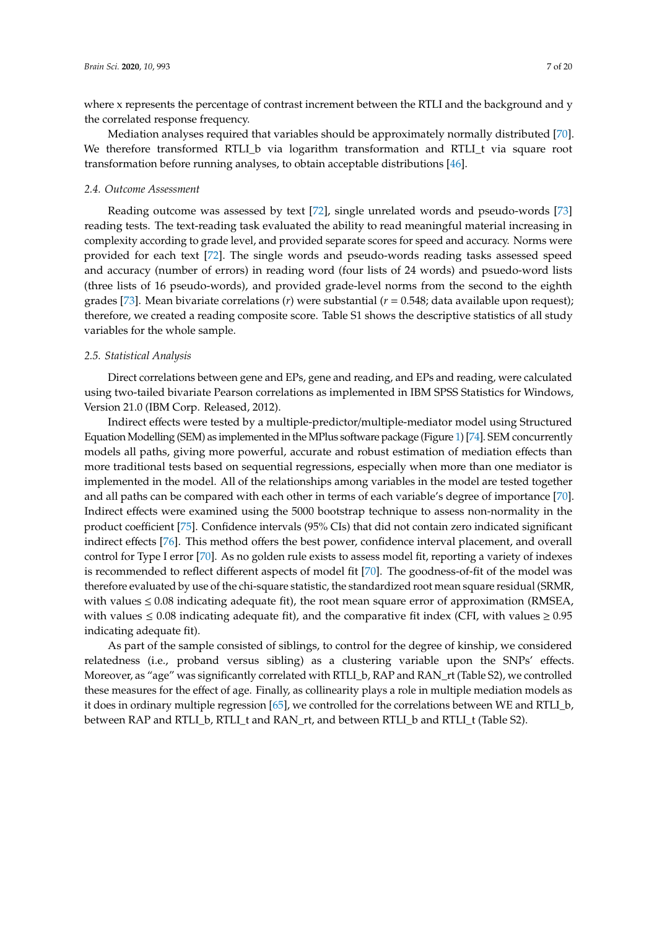where x represents the percentage of contrast increment between the RTLI and the background and y the correlated response frequency.

Mediation analyses required that variables should be approximately normally distributed [\[70\]](#page-15-13). We therefore transformed RTLI\_b via logarithm transformation and RTLI\_t via square root transformation before running analyses, to obtain acceptable distributions [\[46\]](#page-14-3).

#### *2.4. Outcome Assessment*

Reading outcome was assessed by text [\[72\]](#page-15-15), single unrelated words and pseudo-words [\[73\]](#page-15-16) reading tests. The text-reading task evaluated the ability to read meaningful material increasing in complexity according to grade level, and provided separate scores for speed and accuracy. Norms were provided for each text [\[72\]](#page-15-15). The single words and pseudo-words reading tasks assessed speed and accuracy (number of errors) in reading word (four lists of 24 words) and psuedo-word lists (three lists of 16 pseudo-words), and provided grade-level norms from the second to the eighth grades [\[73\]](#page-15-16). Mean bivariate correlations (*r*) were substantial (*r* = 0.548; data available upon request); therefore, we created a reading composite score. Table S1 shows the descriptive statistics of all study variables for the whole sample.

#### *2.5. Statistical Analysis*

Direct correlations between gene and EPs, gene and reading, and EPs and reading, were calculated using two-tailed bivariate Pearson correlations as implemented in IBM SPSS Statistics for Windows, Version 21.0 (IBM Corp. Released, 2012).

Indirect effects were tested by a multiple-predictor/multiple-mediator model using Structured Equation Modelling (SEM) as implemented in the MPlus software package (Figure [1\)](#page-7-0) [\[74\]](#page-15-17). SEM concurrently models all paths, giving more powerful, accurate and robust estimation of mediation effects than more traditional tests based on sequential regressions, especially when more than one mediator is implemented in the model. All of the relationships among variables in the model are tested together and all paths can be compared with each other in terms of each variable's degree of importance [\[70\]](#page-15-13). Indirect effects were examined using the 5000 bootstrap technique to assess non-normality in the product coefficient [\[75\]](#page-15-18). Confidence intervals (95% CIs) that did not contain zero indicated significant indirect effects [\[76\]](#page-16-0). This method offers the best power, confidence interval placement, and overall control for Type I error [\[70\]](#page-15-13). As no golden rule exists to assess model fit, reporting a variety of indexes is recommended to reflect different aspects of model fit [\[70\]](#page-15-13). The goodness-of-fit of the model was therefore evaluated by use of the chi-square statistic, the standardized root mean square residual (SRMR, with values  $\leq 0.08$  indicating adequate fit), the root mean square error of approximation (RMSEA, with values  $\leq 0.08$  indicating adequate fit), and the comparative fit index (CFI, with values  $\geq 0.95$ indicating adequate fit).

As part of the sample consisted of siblings, to control for the degree of kinship, we considered relatedness (i.e., proband versus sibling) as a clustering variable upon the SNPs' effects. Moreover, as "age" was significantly correlated with RTLI\_b, RAP and RAN\_rt (Table S2), we controlled these measures for the effect of age. Finally, as collinearity plays a role in multiple mediation models as it does in ordinary multiple regression [\[65\]](#page-15-8), we controlled for the correlations between WE and RTLI\_b, between RAP and RTLI\_b, RTLI\_t and RAN\_rt, and between RTLI\_b and RTLI\_t (Table S2).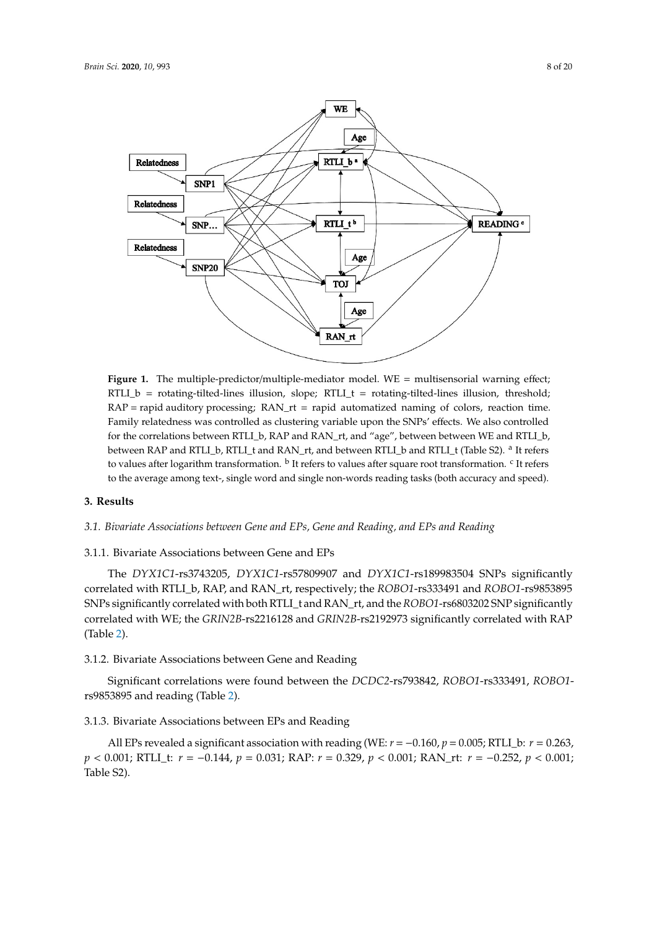<span id="page-7-0"></span>

RAP = rapid auditory processing; RAN\_rt = rapid automatized naming of colors, reaction time. Family relatedness was controlled as clustering variable upon the SNPs' effects. We also controlled for the correlations between RTLI\_b, RAP and RAN\_rt, and "age", between between WE and RTLI\_b, between RAP and RTLI\_b, RTLI\_t and RAN\_rt, and between RTLI\_b and RTLI\_t (Table S2). <sup>a</sup> It refers to values after logarithm transformation. <sup>b</sup> It refers to values after square root transformation. <sup>c</sup> It refers to the average among text-, single word and single non-words reading tasks (both accuracy and speed). Figure 1. The multiple-predictor/multiple-mediator model. WE = multisensorial warning effect; RTLI\_b = rotating-tilted-lines illusion, slope;  $RTL_1 =$  rotating-tilted-lines illusion, threshold;

#### $\lambda$  Results after logarithm transformation. B It refers to values after square root transformation.  $\lambda$ **3. Results**

#### 3.1. Bivariate Associations between Gene and EPs, Gene and Reading, and EPs and Reading

## **3. Results**  3.1.1. Bivariate Associations between Gene and EPs

*3.1. Bivariate Associations between Gene and EPs, Gene and Reading, and EPs and Reading*  correlated with RTLI\_b, RAP, and RAN\_rt, respectively; the *ROBO1*-rs333491 and *ROBO1*-rs9853895 correlated with WE; the *GRIN2B-*rs2216128 and *GRIN2B-*rs2192973 significantly correlated with RAP The *DYX1C1*-rs3743205, *DYX1C1*-rs57809907 and *DYX1C1*-rs189983504 SNPs significantly SNPs significantly correlated with both RTLI\_t and RAN\_rt, and the *ROBO1*-rs6803202 SNP significantly (Table [2\)](#page-8-0).

### 3.1.2. Bivariate Associations between Gene and Reading

Significant correlations were found between the *DCDC2*-rs793842, *ROBO1*-rs333491, *ROBO1*rs9853895 and reading (Table 2).

#### correlated with RAP (Table 2). 3.1.3. Bivariate Associations between EPs and Reading

All EPs revealed a significant association with reading (WE:  $r = -0.160$ ,  $p = 0.005$ ; RTLI\_b:  $r = 0.263$ , in the total sample (*n* = 302). *p* < 0.001; RTLI\_t: *r* = −0.144, *p* = 0.031; RAP: *r* = 0.329, *p* < 0.001; RAN\_rt: *r* = −0.252, *p* < 0.001; Table S2).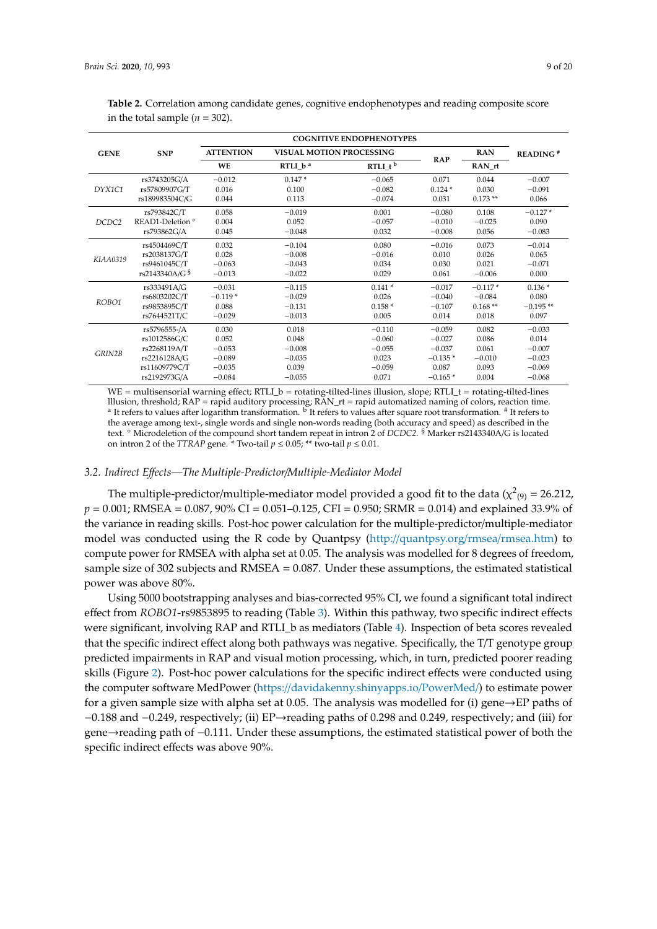<span id="page-8-0"></span>**Table 2.** Correlation among candidate genes, cognitive endophenotypes and reading composite score in the total sample  $(n = 302)$ .

|                   | <b>SNP</b>                  |                  |                                 | <b>COGNITIVE ENDOPHENOTYPES</b> |            |            |                        |
|-------------------|-----------------------------|------------------|---------------------------------|---------------------------------|------------|------------|------------------------|
| <b>GENE</b>       |                             | <b>ATTENTION</b> | <b>VISUAL MOTION PROCESSING</b> |                                 |            | <b>RAN</b> | $READING$ <sup>#</sup> |
|                   |                             | <b>WE</b>        | RTLI $b^a$                      | $RTLI_t^b$                      | <b>RAP</b> | RAN rt     |                        |
| DYX1C1            | rs3743205G/A                | $-0.012$         | $0.147*$                        | $-0.065$                        | 0.071      | 0.044      | $-0.007$               |
|                   | rs57809907G/T               | 0.016            | 0.100                           | $-0.082$                        | $0.124*$   | 0.030      | $-0.091$               |
|                   | rs189983504C/G              | 0.044            | 0.113                           | $-0.074$                        | 0.031      | $0.173**$  | 0.066                  |
| DCDC <sub>2</sub> | rs793842C/T                 | 0.058            | $-0.019$                        | 0.001                           | $-0.080$   | 0.108      | $-0.127*$              |
|                   | READ1-Deletion <sup>o</sup> | 0.004            | 0.052                           | $-0.057$                        | $-0.010$   | $-0.025$   | 0.090                  |
|                   | rs793862G/A                 | 0.045            | $-0.048$                        | 0.032                           | $-0.008$   | 0.056      | $-0.083$               |
|                   | rs4504469C/T                | 0.032            | $-0.104$                        | 0.080                           | $-0.016$   | 0.073      | $-0.014$               |
| KIAA0319          | rs2038137G/T                | 0.028            | $-0.008$                        | $-0.016$                        | 0.010      | 0.026      | 0.065                  |
|                   | rs9461045C/T                | $-0.063$         | $-0.043$                        | 0.034                           | 0.030      | 0.021      | $-0.071$               |
|                   | rs2143340A/G §              | $-0.013$         | $-0.022$                        | 0.029                           | 0.061      | $-0.006$   | 0.000                  |
| ROBO1             | rs333491A/G                 | $-0.031$         | $-0.115$                        | $0.141*$                        | $-0.017$   | $-0.117*$  | $0.136*$               |
|                   | rs6803202C/T                | $-0.119*$        | $-0.029$                        | 0.026                           | $-0.040$   | $-0.084$   | 0.080                  |
|                   | rs9853895C/T                | 0.088            | $-0.131$                        | $0.158*$                        | $-0.107$   | $0.168**$  | $-0.195**$             |
|                   | rs7644521T/C                | $-0.029$         | $-0.013$                        | 0.005                           | 0.014      | 0.018      | 0.097                  |
| GRIN2B            | rs5796555-/A                | 0.030            | 0.018                           | $-0.110$                        | $-0.059$   | 0.082      | $-0.033$               |
|                   | rs1012586G/C                | 0.052            | 0.048                           | $-0.060$                        | $-0.027$   | 0.086      | 0.014                  |
|                   | rs2268119A/T                | $-0.053$         | $-0.008$                        | $-0.055$                        | $-0.037$   | 0.061      | $-0.007$               |
|                   | rs2216128A/G                | $-0.089$         | $-0.035$                        | 0.023                           | $-0.135*$  | $-0.010$   | $-0.023$               |
|                   | rs11609779C/T               | $-0.035$         | 0.039                           | $-0.059$                        | 0.087      | 0.093      | $-0.069$               |
|                   | rs2192973G/A                | $-0.084$         | $-0.055$                        | 0.071                           | $-0.165*$  | 0.004      | $-0.068$               |

 $WE =$  multisensorial warning effect;  $RTL_b =$  rotating-tilted-lines illusion, slope;  $RTL_t =$  rotating-tilted-lines lllusion, threshold; RAP = rapid auditory processing; RAN\_rt = rapid automatized naming of colors, reaction time<br><sup>a</sup> It refers to values after logarithm transformation. <sup>b</sup> It refers to values after square root transformat the average among text-, single words and single non-words reading (both accuracy and speed) as described in the text. ◦ Microdeletion of the compound short tandem repeat in intron 2 of *DCDC2*. § Marker rs2143340A/G is located on intron 2 of the *TTRAP* gene. \* Two-tail  $p \le 0.05$ ; \*\* two-tail  $p \le 0.01$ .

#### *3.2. Indirect E*ff*ects—The Multiple-Predictor*/*Multiple-Mediator Model*

The multiple-predictor/multiple-mediator model provided a good fit to the data ( $\chi^2_{(9)}$  = 26.212, *p* = 0.001; RMSEA = 0.087, 90% CI = 0.051–0.125, CFI = 0.950; SRMR = 0.014) and explained 33.9% of the variance in reading skills. Post-hoc power calculation for the multiple-predictor/multiple-mediator model was conducted using the R code by Quantpsy (http://[quantpsy.org](http://quantpsy.org/rmsea/rmsea.htm)/rmsea/rmsea.htm) to compute power for RMSEA with alpha set at 0.05. The analysis was modelled for 8 degrees of freedom, sample size of 302 subjects and RMSEA = 0.087. Under these assumptions, the estimated statistical power was above 80%.

Using 5000 bootstrapping analyses and bias-corrected 95% CI, we found a significant total indirect effect from *ROBO1*-rs9853895 to reading (Table [3\)](#page-9-0). Within this pathway, two specific indirect effects were significant, involving RAP and RTLI\_b as mediators (Table [4\)](#page-9-1). Inspection of beta scores revealed that the specific indirect effect along both pathways was negative. Specifically, the T/T genotype group predicted impairments in RAP and visual motion processing, which, in turn, predicted poorer reading skills (Figure [2\)](#page-9-2). Post-hoc power calculations for the specific indirect effects were conducted using the computer software MedPower (https://[davidakenny.shinyapps.io](https://davidakenny.shinyapps.io/PowerMed/)/PowerMed/) to estimate power for a given sample size with alpha set at 0.05. The analysis was modelled for (i) gene $\rightarrow$ EP paths of −0.188 and −0.249, respectively; (ii) EP→reading paths of 0.298 and 0.249, respectively; and (iii) for gene→reading path of −0.111. Under these assumptions, the estimated statistical power of both the specific indirect effects was above 90%.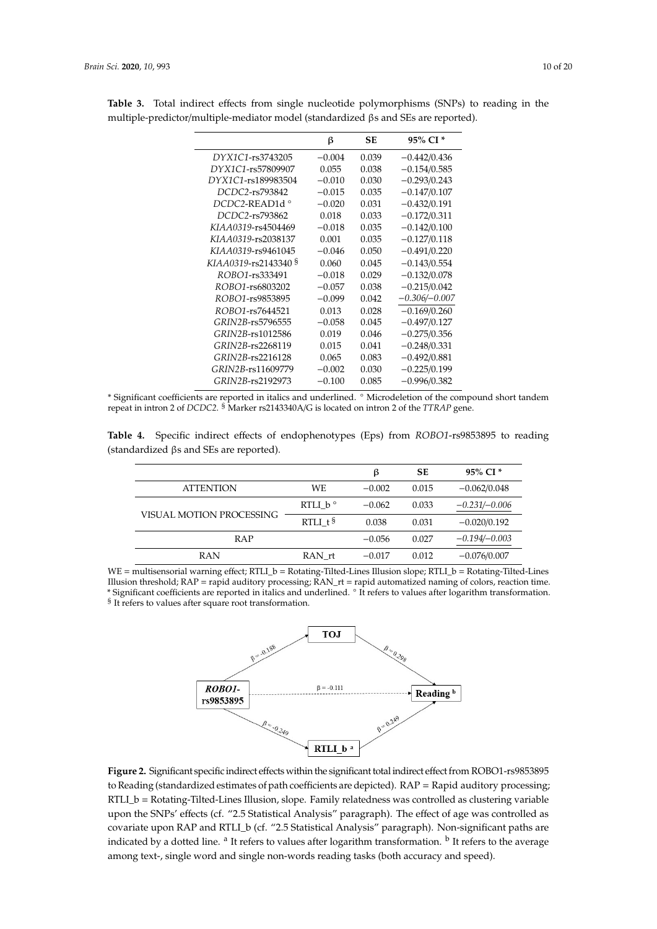|                                 | ß        | SЕ    | 95% CI <sup>*</sup> |
|---------------------------------|----------|-------|---------------------|
| DYX1C1-rs3743205                | $-0.004$ | 0.039 | $-0.442/0.436$      |
| DYX1C1-rs57809907               | 0.055    | 0.038 | $-0.154/0.585$      |
| DYX1C1-rs189983504              | $-0.010$ | 0.030 | $-0.293/0.243$      |
| DCDC2-rs793842                  | $-0.015$ | 0.035 | $-0.147/0.107$      |
| <i>DCDC2-READ1d</i> °           | $-0.020$ | 0.031 | $-0.432/0.191$      |
| DCDC2-rs793862                  | 0.018    | 0.033 | $-0.172/0.311$      |
| KIAA0319-rs4504469              | $-0.018$ | 0.035 | $-0.142/0.100$      |
| KIAA0319-rs2038137              | 0.001    | 0.035 | $-0.127/0.118$      |
| KIAA0319-rs9461045              | $-0.046$ | 0.050 | $-0.491/0.220$      |
| KIAA0319-rs2143340 <sup>§</sup> | 0.060    | 0.045 | $-0.143/0.554$      |
| ROBO1-rs333491                  | $-0.018$ | 0.029 | $-0.132/0.078$      |
| ROBO1-rs6803202                 | $-0.057$ | 0.038 | $-0.215/0.042$      |
| ROBO1-rs9853895                 | $-0.099$ | 0.042 | $-0.306 - 0.007$    |
| ROBO1-rs7644521                 | 0.013    | 0.028 | $-0.169/0.260$      |
| GRIN2B-rs5796555                | $-0.058$ | 0.045 | $-0.497/0.127$      |
| GRIN2B-rs1012586                | 0.019    | 0.046 | $-0.275/0.356$      |
| GRIN2B-rs2268119                | 0.015    | 0.041 | $-0.248/0.331$      |
| GRIN2B-rs2216128                | 0.065    | 0.083 | $-0.492/0.881$      |
| GRIN2B-rs11609779               | $-0.002$ | 0.030 | $-0.225/0.199$      |
| GRIN2B-rs2192973                | $-0.100$ | 0.085 | $-0.996/0.382$      |

<span id="page-9-0"></span>**Table 3.** Total indirect effects from single nucleotide polymorphisms (SNPs) to reading in the multiple-predictor/multiple-mediator model (standardized βs and SEs are reported).

\* Significant coefficients are reported in italics and underlined. ◦ Microdeletion of the compound short tandem repeat in intron 2 of *DCDC2*. § Marker rs2143340A/G is located on intron 2 of the *TTRAP* gene.

<span id="page-9-1"></span>**Table 4.** Specific indirect effects of endophenotypes (Eps) from *ROBO1*-rs9853895 to reading (standardized βs and SEs are reported).

|                          |                  | ß        | <b>SE</b> | 95% CI <sup>*</sup> |
|--------------------------|------------------|----------|-----------|---------------------|
| <b>ATTENTION</b>         | WE               | $-0.002$ | 0.015     | $-0.062/0.048$      |
|                          | RTLI $b^{\circ}$ | $-0.062$ | 0.033     | $-0.231/-0.006$     |
| VISUAL MOTION PROCESSING | RTLI $t5$        | 0.038    | 0.031     | $-0.020/0.192$      |
| <b>RAP</b>               |                  | $-0.056$ | 0.027     | $-0.194 - 0.003$    |
| <b>RAN</b>               | RAN rt           | $-0.017$ | 0.012     | $-0.076/0.007$      |

<span id="page-9-2"></span>WE = multisensorial warning effect; RTLI\_b = Rotating-Tilted-Lines Illusion slope; RTLI\_b = Rotating-Tilted-Lines Illusion threshold; RAP = rapid auditory processing; RAN\_rt = rapid automatized naming of colors, reaction time. \* Significant coefficients are reported in italics and underlined. ◦ It refers to values after logarithm transformation. <sup>§</sup> It refers to values after square root transformation.



**Figure 2.** Significant specific indirect effects within the significant total indirect effect from ROBO1-rs9853895 to Reading (standardized estimates of path coefficients are depicted).  $RAP =$  Rapid auditory processing; RTLI\_b = Rotating-Tilted-Lines Illusion, slope. Family relatedness was controlled as clustering variable clustering variable upon the SNPs' effects (cf.  $\frac{1}{2}$ .5 Statistical Analysis paragraph). The effects (cf.  $\frac{1}{2}$ upon the SNPs' effects (cf. "2.5 Statistical Analysis" paragraph). The effect of age was controlled as covariate upon RAP and RTLI\_b (cf. "2.5 Statistical Analysis" paragraph). Non-significant paths are indicated by a dotted line. <sup>a</sup> It refers to values after logarithm transformation. <sup>b</sup> It refers to the average among text-, single word and single non-words reading tasks (both accuracy and speed).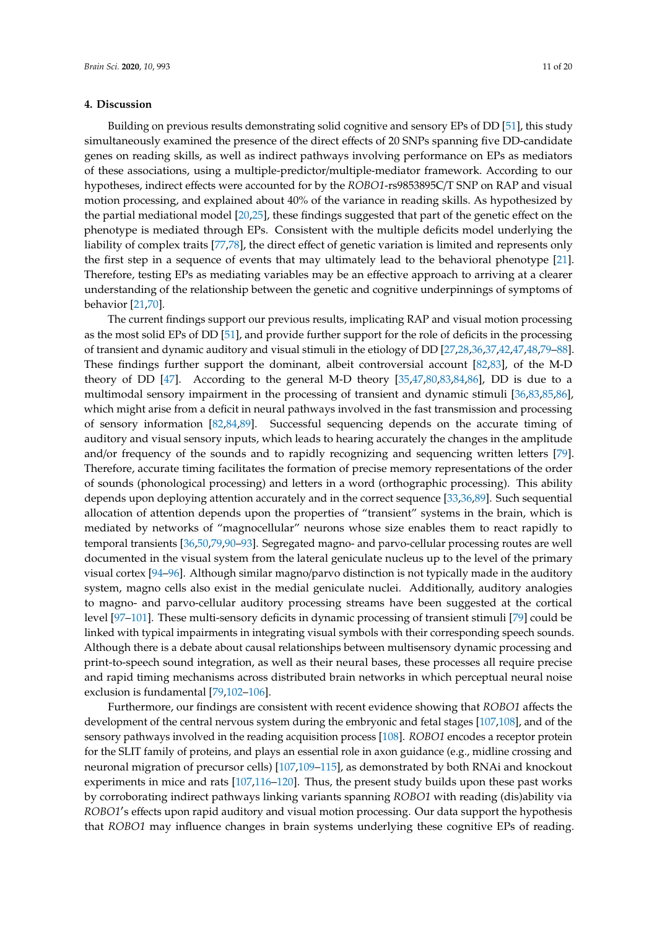#### **4. Discussion**

Building on previous results demonstrating solid cognitive and sensory EPs of DD [\[51\]](#page-14-1), this study simultaneously examined the presence of the direct effects of 20 SNPs spanning five DD-candidate genes on reading skills, as well as indirect pathways involving performance on EPs as mediators of these associations, using a multiple-predictor/multiple-mediator framework. According to our hypotheses, indirect effects were accounted for by the *ROBO1*-rs9853895C/T SNP on RAP and visual motion processing, and explained about 40% of the variance in reading skills. As hypothesized by the partial mediational model [\[20,](#page-13-8)[25\]](#page-13-5), these findings suggested that part of the genetic effect on the phenotype is mediated through EPs. Consistent with the multiple deficits model underlying the liability of complex traits [\[77,](#page-16-1)[78\]](#page-16-2), the direct effect of genetic variation is limited and represents only the first step in a sequence of events that may ultimately lead to the behavioral phenotype [\[21\]](#page-13-9). Therefore, testing EPs as mediating variables may be an effective approach to arriving at a clearer understanding of the relationship between the genetic and cognitive underpinnings of symptoms of behavior [\[21](#page-13-9)[,70\]](#page-15-13).

The current findings support our previous results, implicating RAP and visual motion processing as the most solid EPs of DD [\[51\]](#page-14-1), and provide further support for the role of deficits in the processing of transient and dynamic auditory and visual stimuli in the etiology of DD [\[27,](#page-13-7)[28,](#page-13-10)[36,](#page-14-4)[37](#page-14-5)[,42](#page-14-6)[,47](#page-14-7)[,48](#page-14-8)[,79–](#page-16-3)[88\]](#page-16-4). These findings further support the dominant, albeit controversial account [\[82](#page-16-5)[,83\]](#page-16-6), of the M-D theory of DD [\[47\]](#page-14-7). According to the general M-D theory [\[35,](#page-14-9)[47,](#page-14-7)[80,](#page-16-7)[83,](#page-16-6)[84,](#page-16-8)[86\]](#page-16-9), DD is due to a multimodal sensory impairment in the processing of transient and dynamic stimuli [\[36,](#page-14-4)[83,](#page-16-6)[85,](#page-16-10)[86\]](#page-16-9), which might arise from a deficit in neural pathways involved in the fast transmission and processing of sensory information [\[82,](#page-16-5)[84](#page-16-8)[,89\]](#page-16-11). Successful sequencing depends on the accurate timing of auditory and visual sensory inputs, which leads to hearing accurately the changes in the amplitude and/or frequency of the sounds and to rapidly recognizing and sequencing written letters [\[79\]](#page-16-3). Therefore, accurate timing facilitates the formation of precise memory representations of the order of sounds (phonological processing) and letters in a word (orthographic processing). This ability depends upon deploying attention accurately and in the correct sequence [\[33](#page-13-11)[,36](#page-14-4)[,89\]](#page-16-11). Such sequential allocation of attention depends upon the properties of "transient" systems in the brain, which is mediated by networks of "magnocellular" neurons whose size enables them to react rapidly to temporal transients [\[36](#page-14-4)[,50](#page-14-0)[,79](#page-16-3)[,90–](#page-16-12)[93\]](#page-16-13). Segregated magno- and parvo-cellular processing routes are well documented in the visual system from the lateral geniculate nucleus up to the level of the primary visual cortex [\[94–](#page-16-14)[96\]](#page-16-15). Although similar magno/parvo distinction is not typically made in the auditory system, magno cells also exist in the medial geniculate nuclei. Additionally, auditory analogies to magno- and parvo-cellular auditory processing streams have been suggested at the cortical level [\[97–](#page-16-16)[101\]](#page-17-0). These multi-sensory deficits in dynamic processing of transient stimuli [\[79\]](#page-16-3) could be linked with typical impairments in integrating visual symbols with their corresponding speech sounds. Although there is a debate about causal relationships between multisensory dynamic processing and print-to-speech sound integration, as well as their neural bases, these processes all require precise and rapid timing mechanisms across distributed brain networks in which perceptual neural noise exclusion is fundamental [\[79,](#page-16-3)[102](#page-17-1)[–106\]](#page-17-2).

Furthermore, our findings are consistent with recent evidence showing that *ROBO1* affects the development of the central nervous system during the embryonic and fetal stages [\[107,](#page-17-3)[108\]](#page-17-4), and of the sensory pathways involved in the reading acquisition process [\[108\]](#page-17-4). *ROBO1* encodes a receptor protein for the SLIT family of proteins, and plays an essential role in axon guidance (e.g., midline crossing and neuronal migration of precursor cells) [\[107](#page-17-3)[,109](#page-17-5)[–115\]](#page-17-6), as demonstrated by both RNAi and knockout experiments in mice and rats [\[107](#page-17-3)[,116–](#page-17-7)[120\]](#page-17-8). Thus, the present study builds upon these past works by corroborating indirect pathways linking variants spanning *ROBO1* with reading (dis)ability via ROBO1's effects upon rapid auditory and visual motion processing. Our data support the hypothesis that *ROBO1* may influence changes in brain systems underlying these cognitive EPs of reading.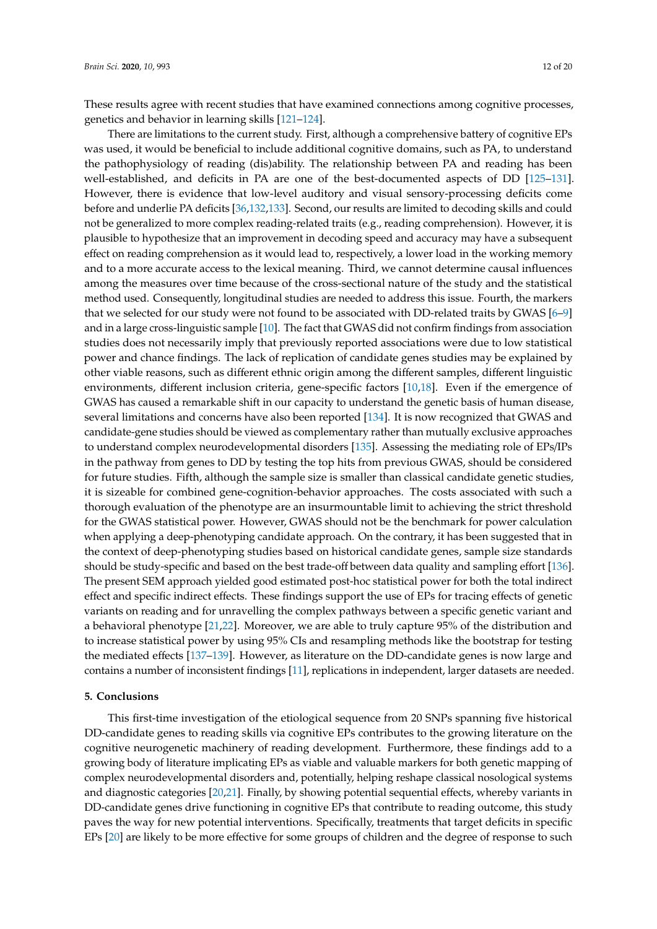These results agree with recent studies that have examined connections among cognitive processes, genetics and behavior in learning skills [\[121](#page-17-9)[–124\]](#page-18-0).

There are limitations to the current study. First, although a comprehensive battery of cognitive EPs was used, it would be beneficial to include additional cognitive domains, such as PA, to understand the pathophysiology of reading (dis)ability. The relationship between PA and reading has been well-established, and deficits in PA are one of the best-documented aspects of DD [\[125–](#page-18-1)[131\]](#page-18-2). However, there is evidence that low-level auditory and visual sensory-processing deficits come before and underlie PA deficits [\[36](#page-14-4)[,132](#page-18-3)[,133\]](#page-18-4). Second, our results are limited to decoding skills and could not be generalized to more complex reading-related traits (e.g., reading comprehension). However, it is plausible to hypothesize that an improvement in decoding speed and accuracy may have a subsequent effect on reading comprehension as it would lead to, respectively, a lower load in the working memory and to a more accurate access to the lexical meaning. Third, we cannot determine causal influences among the measures over time because of the cross-sectional nature of the study and the statistical method used. Consequently, longitudinal studies are needed to address this issue. Fourth, the markers that we selected for our study were not found to be associated with DD-related traits by GWAS [\[6](#page-12-5)[–9\]](#page-12-6) and in a large cross-linguistic sample [\[10\]](#page-12-7). The fact that GWAS did not confirm findings from association studies does not necessarily imply that previously reported associations were due to low statistical power and chance findings. The lack of replication of candidate genes studies may be explained by other viable reasons, such as different ethnic origin among the different samples, different linguistic environments, different inclusion criteria, gene-specific factors [\[10,](#page-12-7)[18\]](#page-13-0). Even if the emergence of GWAS has caused a remarkable shift in our capacity to understand the genetic basis of human disease, several limitations and concerns have also been reported [\[134\]](#page-18-5). It is now recognized that GWAS and candidate-gene studies should be viewed as complementary rather than mutually exclusive approaches to understand complex neurodevelopmental disorders [\[135\]](#page-18-6). Assessing the mediating role of EPs/IPs in the pathway from genes to DD by testing the top hits from previous GWAS, should be considered for future studies. Fifth, although the sample size is smaller than classical candidate genetic studies, it is sizeable for combined gene-cognition-behavior approaches. The costs associated with such a thorough evaluation of the phenotype are an insurmountable limit to achieving the strict threshold for the GWAS statistical power. However, GWAS should not be the benchmark for power calculation when applying a deep-phenotyping candidate approach. On the contrary, it has been suggested that in the context of deep-phenotyping studies based on historical candidate genes, sample size standards should be study-specific and based on the best trade-off between data quality and sampling effort [\[136\]](#page-18-7). The present SEM approach yielded good estimated post-hoc statistical power for both the total indirect effect and specific indirect effects. These findings support the use of EPs for tracing effects of genetic variants on reading and for unravelling the complex pathways between a specific genetic variant and a behavioral phenotype [\[21](#page-13-9)[,22\]](#page-13-2). Moreover, we are able to truly capture 95% of the distribution and to increase statistical power by using 95% CIs and resampling methods like the bootstrap for testing the mediated effects [\[137](#page-18-8)[–139\]](#page-18-9). However, as literature on the DD-candidate genes is now large and contains a number of inconsistent findings [\[11\]](#page-12-8), replications in independent, larger datasets are needed.

#### **5. Conclusions**

This first-time investigation of the etiological sequence from 20 SNPs spanning five historical DD-candidate genes to reading skills via cognitive EPs contributes to the growing literature on the cognitive neurogenetic machinery of reading development. Furthermore, these findings add to a growing body of literature implicating EPs as viable and valuable markers for both genetic mapping of complex neurodevelopmental disorders and, potentially, helping reshape classical nosological systems and diagnostic categories [\[20](#page-13-8)[,21\]](#page-13-9). Finally, by showing potential sequential effects, whereby variants in DD-candidate genes drive functioning in cognitive EPs that contribute to reading outcome, this study paves the way for new potential interventions. Specifically, treatments that target deficits in specific EPs [\[20\]](#page-13-8) are likely to be more effective for some groups of children and the degree of response to such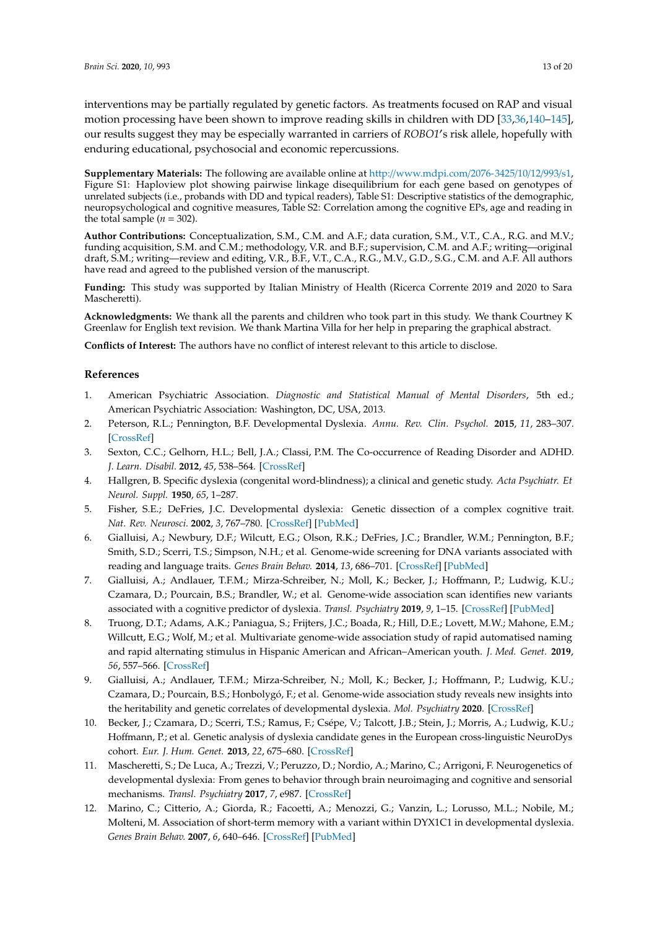interventions may be partially regulated by genetic factors. As treatments focused on RAP and visual motion processing have been shown to improve reading skills in children with DD [\[33,](#page-13-11)[36,](#page-14-4)[140](#page-18-10)[–145\]](#page-19-0), our results suggest they may be especially warranted in carriers of *ROBO1's* risk allele, hopefully with enduring educational, psychosocial and economic repercussions.

**Supplementary Materials:** The following are available online at http://[www.mdpi.com](http://www.mdpi.com/2076-3425/10/12/993/s1)/2076-3425/10/12/993/s1, Figure S1: Haploview plot showing pairwise linkage disequilibrium for each gene based on genotypes of unrelated subjects (i.e., probands with DD and typical readers), Table S1: Descriptive statistics of the demographic, neuropsychological and cognitive measures, Table S2: Correlation among the cognitive EPs, age and reading in the total sample  $(n = 302)$ .

**Author Contributions:** Conceptualization, S.M., C.M. and A.F.; data curation, S.M., V.T., C.A., R.G. and M.V.; funding acquisition, S.M. and C.M.; methodology, V.R. and B.F.; supervision, C.M. and A.F.; writing—original draft, S.M.; writing—review and editing, V.R., B.F., V.T., C.A., R.G., M.V., G.D., S.G., C.M. and A.F. All authors have read and agreed to the published version of the manuscript.

**Funding:** This study was supported by Italian Ministry of Health (Ricerca Corrente 2019 and 2020 to Sara Mascheretti).

**Acknowledgments:** We thank all the parents and children who took part in this study. We thank Courtney K Greenlaw for English text revision. We thank Martina Villa for her help in preparing the graphical abstract.

**Conflicts of Interest:** The authors have no conflict of interest relevant to this article to disclose.

#### **References**

- <span id="page-12-0"></span>1. American Psychiatric Association. *Diagnostic and Statistical Manual of Mental Disorders*, 5th ed.; American Psychiatric Association: Washington, DC, USA, 2013.
- <span id="page-12-1"></span>2. Peterson, R.L.; Pennington, B.F. Developmental Dyslexia. *Annu. Rev. Clin. Psychol.* **2015**, *11*, 283–307. [\[CrossRef\]](http://dx.doi.org/10.1146/annurev-clinpsy-032814-112842)
- <span id="page-12-2"></span>3. Sexton, C.C.; Gelhorn, H.L.; Bell, J.A.; Classi, P.M. The Co-occurrence of Reading Disorder and ADHD. *J. Learn. Disabil.* **2012**, *45*, 538–564. [\[CrossRef\]](http://dx.doi.org/10.1177/0022219411407772)
- <span id="page-12-3"></span>4. Hallgren, B. Specific dyslexia (congenital word-blindness); a clinical and genetic study. *Acta Psychiatr. Et Neurol. Suppl.* **1950**, *65*, 1–287.
- <span id="page-12-4"></span>5. Fisher, S.E.; DeFries, J.C. Developmental dyslexia: Genetic dissection of a complex cognitive trait. *Nat. Rev. Neurosci.* **2002**, *3*, 767–780. [\[CrossRef\]](http://dx.doi.org/10.1038/nrn936) [\[PubMed\]](http://www.ncbi.nlm.nih.gov/pubmed/12360321)
- <span id="page-12-5"></span>6. Gialluisi, A.; Newbury, D.F.; Wilcutt, E.G.; Olson, R.K.; DeFries, J.C.; Brandler, W.M.; Pennington, B.F.; Smith, S.D.; Scerri, T.S.; Simpson, N.H.; et al. Genome-wide screening for DNA variants associated with reading and language traits. *Genes Brain Behav.* **2014**, *13*, 686–701. [\[CrossRef\]](http://dx.doi.org/10.1111/gbb.12158) [\[PubMed\]](http://www.ncbi.nlm.nih.gov/pubmed/25065397)
- 7. Gialluisi, A.; Andlauer, T.F.M.; Mirza-Schreiber, N.; Moll, K.; Becker, J.; Hoffmann, P.; Ludwig, K.U.; Czamara, D.; Pourcain, B.S.; Brandler, W.; et al. Genome-wide association scan identifies new variants associated with a cognitive predictor of dyslexia. *Transl. Psychiatry* **2019**, *9*, 1–15. [\[CrossRef\]](http://dx.doi.org/10.1038/s41398-019-0402-0) [\[PubMed\]](http://www.ncbi.nlm.nih.gov/pubmed/30741946)
- 8. Truong, D.T.; Adams, A.K.; Paniagua, S.; Frijters, J.C.; Boada, R.; Hill, D.E.; Lovett, M.W.; Mahone, E.M.; Willcutt, E.G.; Wolf, M.; et al. Multivariate genome-wide association study of rapid automatised naming and rapid alternating stimulus in Hispanic American and African–American youth. *J. Med. Genet.* **2019**, *56*, 557–566. [\[CrossRef\]](http://dx.doi.org/10.1136/jmedgenet-2018-105874)
- <span id="page-12-6"></span>9. Gialluisi, A.; Andlauer, T.F.M.; Mirza-Schreiber, N.; Moll, K.; Becker, J.; Hoffmann, P.; Ludwig, K.U.; Czamara, D.; Pourcain, B.S.; Honbolygó, F.; et al. Genome-wide association study reveals new insights into the heritability and genetic correlates of developmental dyslexia. *Mol. Psychiatry* **2020**. [\[CrossRef\]](http://dx.doi.org/10.1038/s41380-020-00898-x)
- <span id="page-12-7"></span>10. Becker, J.; Czamara, D.; Scerri, T.S.; Ramus, F.; Csépe, V.; Talcott, J.B.; Stein, J.; Morris, A.; Ludwig, K.U.; Hoffmann, P.; et al. Genetic analysis of dyslexia candidate genes in the European cross-linguistic NeuroDys cohort. *Eur. J. Hum. Genet.* **2013**, *22*, 675–680. [\[CrossRef\]](http://dx.doi.org/10.1038/ejhg.2013.199)
- <span id="page-12-8"></span>11. Mascheretti, S.; De Luca, A.; Trezzi, V.; Peruzzo, D.; Nordio, A.; Marino, C.; Arrigoni, F. Neurogenetics of developmental dyslexia: From genes to behavior through brain neuroimaging and cognitive and sensorial mechanisms. *Transl. Psychiatry* **2017**, *7*, e987. [\[CrossRef\]](http://dx.doi.org/10.1038/tp.2016.240)
- <span id="page-12-9"></span>12. Marino, C.; Citterio, A.; Giorda, R.; Facoetti, A.; Menozzi, G.; Vanzin, L.; Lorusso, M.L.; Nobile, M.; Molteni, M. Association of short-term memory with a variant within DYX1C1 in developmental dyslexia. *Genes Brain Behav.* **2007**, *6*, 640–646. [\[CrossRef\]](http://dx.doi.org/10.1111/j.1601-183X.2006.00291.x) [\[PubMed\]](http://www.ncbi.nlm.nih.gov/pubmed/17309662)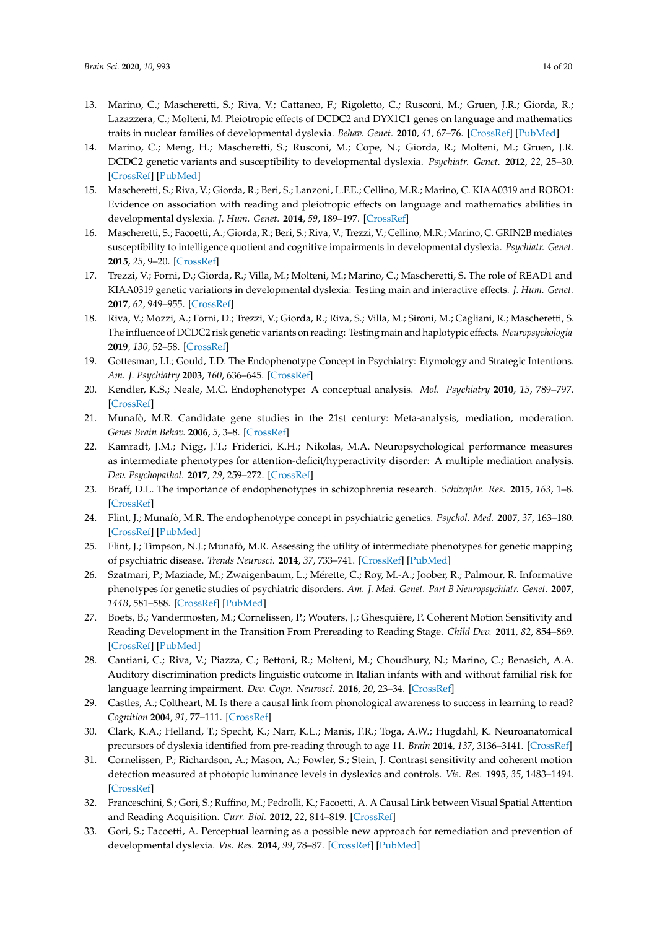- 13. Marino, C.; Mascheretti, S.; Riva, V.; Cattaneo, F.; Rigoletto, C.; Rusconi, M.; Gruen, J.R.; Giorda, R.; Lazazzera, C.; Molteni, M. Pleiotropic effects of DCDC2 and DYX1C1 genes on language and mathematics traits in nuclear families of developmental dyslexia. *Behav. Genet.* **2010**, *41*, 67–76. [\[CrossRef\]](http://dx.doi.org/10.1007/s10519-010-9412-7) [\[PubMed\]](http://www.ncbi.nlm.nih.gov/pubmed/21046216)
- 14. Marino, C.; Meng, H.; Mascheretti, S.; Rusconi, M.; Cope, N.; Giorda, R.; Molteni, M.; Gruen, J.R. DCDC2 genetic variants and susceptibility to developmental dyslexia. *Psychiatr. Genet.* **2012**, *22*, 25–30. [\[CrossRef\]](http://dx.doi.org/10.1097/YPG.0b013e32834acdb2) [\[PubMed\]](http://www.ncbi.nlm.nih.gov/pubmed/21881542)
- 15. Mascheretti, S.; Riva, V.; Giorda, R.; Beri, S.; Lanzoni, L.F.E.; Cellino, M.R.; Marino, C. KIAA0319 and ROBO1: Evidence on association with reading and pleiotropic effects on language and mathematics abilities in developmental dyslexia. *J. Hum. Genet.* **2014**, *59*, 189–197. [\[CrossRef\]](http://dx.doi.org/10.1038/jhg.2013.141)
- 16. Mascheretti, S.; Facoetti, A.; Giorda, R.; Beri, S.; Riva, V.; Trezzi, V.; Cellino, M.R.; Marino, C. GRIN2B mediates susceptibility to intelligence quotient and cognitive impairments in developmental dyslexia. *Psychiatr. Genet.* **2015**, *25*, 9–20. [\[CrossRef\]](http://dx.doi.org/10.1097/YPG.0000000000000068)
- 17. Trezzi, V.; Forni, D.; Giorda, R.; Villa, M.; Molteni, M.; Marino, C.; Mascheretti, S. The role of READ1 and KIAA0319 genetic variations in developmental dyslexia: Testing main and interactive effects. *J. Hum. Genet.* **2017**, *62*, 949–955. [\[CrossRef\]](http://dx.doi.org/10.1038/jhg.2017.80)
- <span id="page-13-0"></span>18. Riva, V.; Mozzi, A.; Forni, D.; Trezzi, V.; Giorda, R.; Riva, S.; Villa, M.; Sironi, M.; Cagliani, R.; Mascheretti, S. The influence of DCDC2 risk genetic variants on reading: Testing main and haplotypic effects. *Neuropsychologia* **2019**, *130*, 52–58. [\[CrossRef\]](http://dx.doi.org/10.1016/j.neuropsychologia.2018.05.021)
- <span id="page-13-1"></span>19. Gottesman, I.I.; Gould, T.D. The Endophenotype Concept in Psychiatry: Etymology and Strategic Intentions. *Am. J. Psychiatry* **2003**, *160*, 636–645. [\[CrossRef\]](http://dx.doi.org/10.1176/appi.ajp.160.4.636)
- <span id="page-13-8"></span>20. Kendler, K.S.; Neale, M.C. Endophenotype: A conceptual analysis. *Mol. Psychiatry* **2010**, *15*, 789–797. [\[CrossRef\]](http://dx.doi.org/10.1038/mp.2010.8)
- <span id="page-13-9"></span>21. Munafò, M.R. Candidate gene studies in the 21st century: Meta-analysis, mediation, moderation. *Genes Brain Behav.* **2006**, *5*, 3–8. [\[CrossRef\]](http://dx.doi.org/10.1111/j.1601-183x.2006.00188.x)
- <span id="page-13-2"></span>22. Kamradt, J.M.; Nigg, J.T.; Friderici, K.H.; Nikolas, M.A. Neuropsychological performance measures as intermediate phenotypes for attention-deficit/hyperactivity disorder: A multiple mediation analysis. *Dev. Psychopathol.* **2017**, *29*, 259–272. [\[CrossRef\]](http://dx.doi.org/10.1017/S0954579416000195)
- <span id="page-13-3"></span>23. Braff, D.L. The importance of endophenotypes in schizophrenia research. *Schizophr. Res.* **2015**, *163*, 1–8. [\[CrossRef\]](http://dx.doi.org/10.1016/j.schres.2015.02.007)
- <span id="page-13-4"></span>24. Flint, J.; Munafò, M.R. The endophenotype concept in psychiatric genetics. *Psychol. Med.* **2007**, *37*, 163–180. [\[CrossRef\]](http://dx.doi.org/10.1017/S0033291706008750) [\[PubMed\]](http://www.ncbi.nlm.nih.gov/pubmed/16978446)
- <span id="page-13-5"></span>25. Flint, J.; Timpson, N.J.; Munafò, M.R. Assessing the utility of intermediate phenotypes for genetic mapping of psychiatric disease. *Trends Neurosci.* **2014**, *37*, 733–741. [\[CrossRef\]](http://dx.doi.org/10.1016/j.tins.2014.08.007) [\[PubMed\]](http://www.ncbi.nlm.nih.gov/pubmed/25216981)
- <span id="page-13-6"></span>26. Szatmari, P.; Maziade, M.; Zwaigenbaum, L.; Mérette, C.; Roy, M.-A.; Joober, R.; Palmour, R. Informative phenotypes for genetic studies of psychiatric disorders. *Am. J. Med. Genet. Part B Neuropsychiatr. Genet.* **2007**, *144B*, 581–588. [\[CrossRef\]](http://dx.doi.org/10.1002/ajmg.b.30426) [\[PubMed\]](http://www.ncbi.nlm.nih.gov/pubmed/17219386)
- <span id="page-13-7"></span>27. Boets, B.; Vandermosten, M.; Cornelissen, P.; Wouters, J.; Ghesquière, P. Coherent Motion Sensitivity and Reading Development in the Transition From Prereading to Reading Stage. *Child Dev.* **2011**, *82*, 854–869. [\[CrossRef\]](http://dx.doi.org/10.1111/j.1467-8624.2010.01527.x) [\[PubMed\]](http://www.ncbi.nlm.nih.gov/pubmed/21410913)
- <span id="page-13-10"></span>28. Cantiani, C.; Riva, V.; Piazza, C.; Bettoni, R.; Molteni, M.; Choudhury, N.; Marino, C.; Benasich, A.A. Auditory discrimination predicts linguistic outcome in Italian infants with and without familial risk for language learning impairment. *Dev. Cogn. Neurosci.* **2016**, *20*, 23–34. [\[CrossRef\]](http://dx.doi.org/10.1016/j.dcn.2016.03.002)
- 29. Castles, A.; Coltheart, M. Is there a causal link from phonological awareness to success in learning to read? *Cognition* **2004**, *91*, 77–111. [\[CrossRef\]](http://dx.doi.org/10.1016/S0010-0277(03)00164-1)
- 30. Clark, K.A.; Helland, T.; Specht, K.; Narr, K.L.; Manis, F.R.; Toga, A.W.; Hugdahl, K. Neuroanatomical precursors of dyslexia identified from pre-reading through to age 11. *Brain* **2014**, *137*, 3136–3141. [\[CrossRef\]](http://dx.doi.org/10.1093/brain/awu229)
- 31. Cornelissen, P.; Richardson, A.; Mason, A.; Fowler, S.; Stein, J. Contrast sensitivity and coherent motion detection measured at photopic luminance levels in dyslexics and controls. *Vis. Res.* **1995**, *35*, 1483–1494. [\[CrossRef\]](http://dx.doi.org/10.1016/0042-6989(95)98728-R)
- 32. Franceschini, S.; Gori, S.; Ruffino, M.; Pedrolli, K.; Facoetti, A. A Causal Link between Visual Spatial Attention and Reading Acquisition. *Curr. Biol.* **2012**, *22*, 814–819. [\[CrossRef\]](http://dx.doi.org/10.1016/j.cub.2012.03.013)
- <span id="page-13-11"></span>33. Gori, S.; Facoetti, A. Perceptual learning as a possible new approach for remediation and prevention of developmental dyslexia. *Vis. Res.* **2014**, *99*, 78–87. [\[CrossRef\]](http://dx.doi.org/10.1016/j.visres.2013.11.011) [\[PubMed\]](http://www.ncbi.nlm.nih.gov/pubmed/24325850)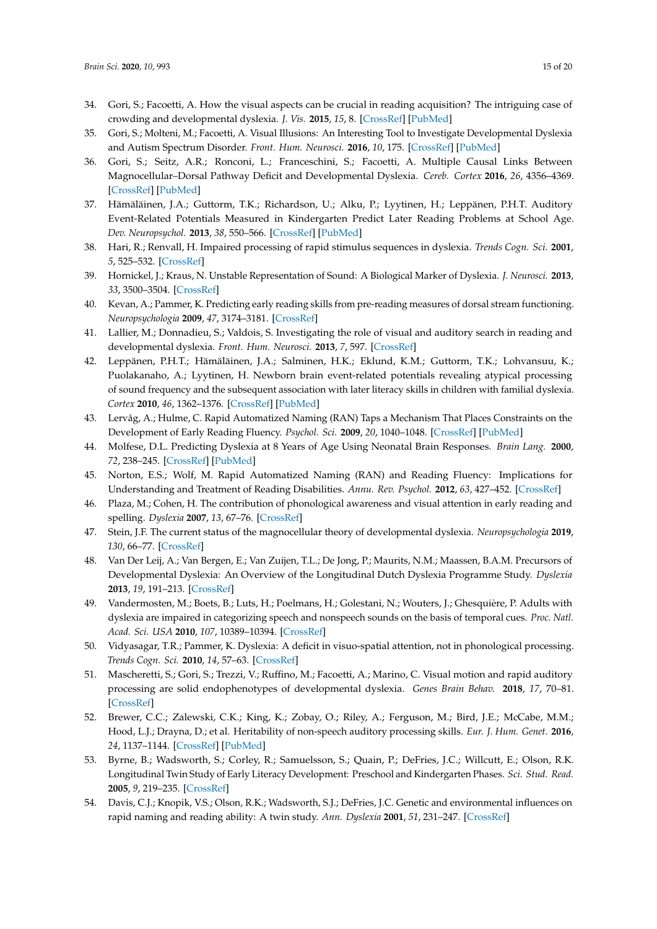- 34. Gori, S.; Facoetti, A. How the visual aspects can be crucial in reading acquisition? The intriguing case of crowding and developmental dyslexia. *J. Vis.* **2015**, *15*, 8. [\[CrossRef\]](http://dx.doi.org/10.1167/15.1.8) [\[PubMed\]](http://www.ncbi.nlm.nih.gov/pubmed/25589292)
- <span id="page-14-9"></span>35. Gori, S.; Molteni, M.; Facoetti, A. Visual Illusions: An Interesting Tool to Investigate Developmental Dyslexia and Autism Spectrum Disorder. *Front. Hum. Neurosci.* **2016**, *10*, 175. [\[CrossRef\]](http://dx.doi.org/10.3389/fnhum.2016.00175) [\[PubMed\]](http://www.ncbi.nlm.nih.gov/pubmed/27199702)
- <span id="page-14-4"></span>36. Gori, S.; Seitz, A.R.; Ronconi, L.; Franceschini, S.; Facoetti, A. Multiple Causal Links Between Magnocellular–Dorsal Pathway Deficit and Developmental Dyslexia. *Cereb. Cortex* **2016**, *26*, 4356–4369. [\[CrossRef\]](http://dx.doi.org/10.1093/cercor/bhv206) [\[PubMed\]](http://www.ncbi.nlm.nih.gov/pubmed/26400914)
- <span id="page-14-5"></span>37. Hämäläinen, J.A.; Guttorm, T.K.; Richardson, U.; Alku, P.; Lyytinen, H.; Leppänen, P.H.T. Auditory Event-Related Potentials Measured in Kindergarten Predict Later Reading Problems at School Age. *Dev. Neuropsychol.* **2013**, *38*, 550–566. [\[CrossRef\]](http://dx.doi.org/10.1080/87565641.2012.718817) [\[PubMed\]](http://www.ncbi.nlm.nih.gov/pubmed/24219695)
- 38. Hari, R.; Renvall, H. Impaired processing of rapid stimulus sequences in dyslexia. *Trends Cogn. Sci.* **2001**, *5*, 525–532. [\[CrossRef\]](http://dx.doi.org/10.1016/S1364-6613(00)01801-5)
- 39. Hornickel, J.; Kraus, N. Unstable Representation of Sound: A Biological Marker of Dyslexia. *J. Neurosci.* **2013**, *33*, 3500–3504. [\[CrossRef\]](http://dx.doi.org/10.1523/JNEUROSCI.4205-12.2013)
- 40. Kevan, A.; Pammer, K. Predicting early reading skills from pre-reading measures of dorsal stream functioning. *Neuropsychologia* **2009**, *47*, 3174–3181. [\[CrossRef\]](http://dx.doi.org/10.1016/j.neuropsychologia.2009.07.016)
- 41. Lallier, M.; Donnadieu, S.; Valdois, S. Investigating the role of visual and auditory search in reading and developmental dyslexia. *Front. Hum. Neurosci.* **2013**, *7*, 597. [\[CrossRef\]](http://dx.doi.org/10.3389/fnhum.2013.00597)
- <span id="page-14-6"></span>42. Leppänen, P.H.T.; Hämäläinen, J.A.; Salminen, H.K.; Eklund, K.M.; Guttorm, T.K.; Lohvansuu, K.; Puolakanaho, A.; Lyytinen, H. Newborn brain event-related potentials revealing atypical processing of sound frequency and the subsequent association with later literacy skills in children with familial dyslexia. *Cortex* **2010**, *46*, 1362–1376. [\[CrossRef\]](http://dx.doi.org/10.1016/j.cortex.2010.06.003) [\[PubMed\]](http://www.ncbi.nlm.nih.gov/pubmed/20656284)
- <span id="page-14-2"></span>43. Lervåg, A.; Hulme, C. Rapid Automatized Naming (RAN) Taps a Mechanism That Places Constraints on the Development of Early Reading Fluency. *Psychol. Sci.* **2009**, *20*, 1040–1048. [\[CrossRef\]](http://dx.doi.org/10.1111/j.1467-9280.2009.02405.x) [\[PubMed\]](http://www.ncbi.nlm.nih.gov/pubmed/19619178)
- 44. Molfese, D.L. Predicting Dyslexia at 8 Years of Age Using Neonatal Brain Responses. *Brain Lang.* **2000**, *72*, 238–245. [\[CrossRef\]](http://dx.doi.org/10.1006/brln.2000.2287) [\[PubMed\]](http://www.ncbi.nlm.nih.gov/pubmed/10764519)
- 45. Norton, E.S.; Wolf, M. Rapid Automatized Naming (RAN) and Reading Fluency: Implications for Understanding and Treatment of Reading Disabilities. *Annu. Rev. Psychol.* **2012**, *63*, 427–452. [\[CrossRef\]](http://dx.doi.org/10.1146/annurev-psych-120710-100431)
- <span id="page-14-3"></span>46. Plaza, M.; Cohen, H. The contribution of phonological awareness and visual attention in early reading and spelling. *Dyslexia* **2007**, *13*, 67–76. [\[CrossRef\]](http://dx.doi.org/10.1002/dys.330)
- <span id="page-14-7"></span>47. Stein, J.F. The current status of the magnocellular theory of developmental dyslexia. *Neuropsychologia* **2019**, *130*, 66–77. [\[CrossRef\]](http://dx.doi.org/10.1016/j.neuropsychologia.2018.03.022)
- <span id="page-14-8"></span>48. Van Der Leij, A.; Van Bergen, E.; Van Zuijen, T.L.; De Jong, P.; Maurits, N.M.; Maassen, B.A.M. Precursors of Developmental Dyslexia: An Overview of the Longitudinal Dutch Dyslexia Programme Study. *Dyslexia* **2013**, *19*, 191–213. [\[CrossRef\]](http://dx.doi.org/10.1002/dys.1463)
- 49. Vandermosten, M.; Boets, B.; Luts, H.; Poelmans, H.; Golestani, N.; Wouters, J.; Ghesquière, P. Adults with dyslexia are impaired in categorizing speech and nonspeech sounds on the basis of temporal cues. *Proc. Natl. Acad. Sci. USA* **2010**, *107*, 10389–10394. [\[CrossRef\]](http://dx.doi.org/10.1073/pnas.0912858107)
- <span id="page-14-0"></span>50. Vidyasagar, T.R.; Pammer, K. Dyslexia: A deficit in visuo-spatial attention, not in phonological processing. *Trends Cogn. Sci.* **2010**, *14*, 57–63. [\[CrossRef\]](http://dx.doi.org/10.1016/j.tics.2009.12.003)
- <span id="page-14-1"></span>51. Mascheretti, S.; Gori, S.; Trezzi, V.; Ruffino, M.; Facoetti, A.; Marino, C. Visual motion and rapid auditory processing are solid endophenotypes of developmental dyslexia. *Genes Brain Behav.* **2018**, *17*, 70–81. [\[CrossRef\]](http://dx.doi.org/10.1111/gbb.12409)
- 52. Brewer, C.C.; Zalewski, C.K.; King, K.; Zobay, O.; Riley, A.; Ferguson, M.; Bird, J.E.; McCabe, M.M.; Hood, L.J.; Drayna, D.; et al. Heritability of non-speech auditory processing skills. *Eur. J. Hum. Genet.* **2016**, *24*, 1137–1144. [\[CrossRef\]](http://dx.doi.org/10.1038/ejhg.2015.277) [\[PubMed\]](http://www.ncbi.nlm.nih.gov/pubmed/26883091)
- 53. Byrne, B.; Wadsworth, S.; Corley, R.; Samuelsson, S.; Quain, P.; DeFries, J.C.; Willcutt, E.; Olson, R.K. Longitudinal Twin Study of Early Literacy Development: Preschool and Kindergarten Phases. *Sci. Stud. Read.* **2005**, *9*, 219–235. [\[CrossRef\]](http://dx.doi.org/10.1207/s1532799xssr0903_3)
- 54. Davis, C.J.; Knopik, V.S.; Olson, R.K.; Wadsworth, S.J.; DeFries, J.C. Genetic and environmental influences on rapid naming and reading ability: A twin study. *Ann. Dyslexia* **2001**, *51*, 231–247. [\[CrossRef\]](http://dx.doi.org/10.1007/s11881-001-0012-3)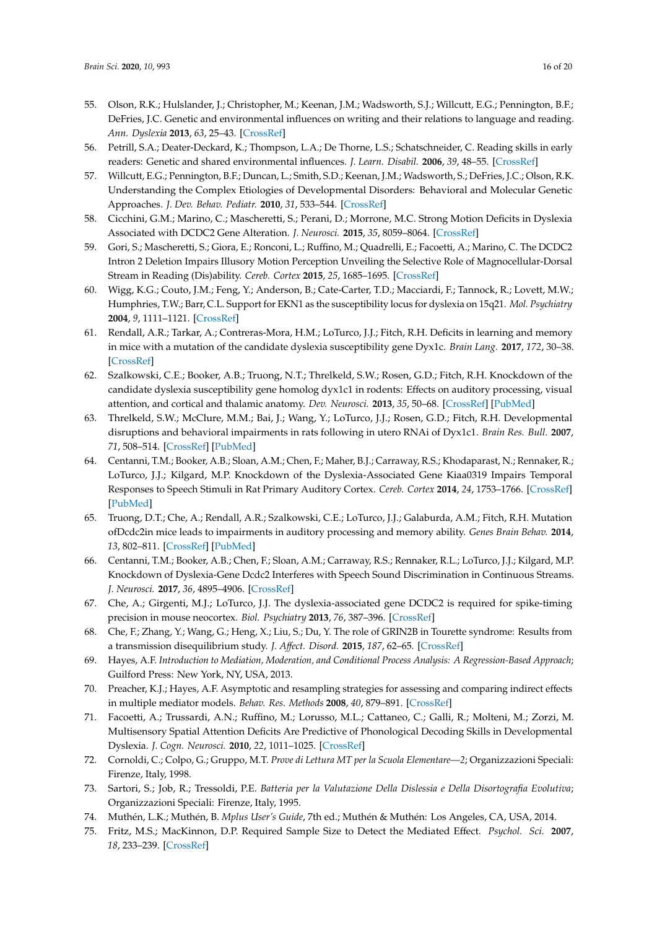- 55. Olson, R.K.; Hulslander, J.; Christopher, M.; Keenan, J.M.; Wadsworth, S.J.; Willcutt, E.G.; Pennington, B.F.; DeFries, J.C. Genetic and environmental influences on writing and their relations to language and reading. *Ann. Dyslexia* **2013**, *63*, 25–43. [\[CrossRef\]](http://dx.doi.org/10.1007/s11881-011-0055-z)
- 56. Petrill, S.A.; Deater-Deckard, K.; Thompson, L.A.; De Thorne, L.S.; Schatschneider, C. Reading skills in early readers: Genetic and shared environmental influences. *J. Learn. Disabil.* **2006**, *39*, 48–55. [\[CrossRef\]](http://dx.doi.org/10.1177/00222194060390010501)
- <span id="page-15-0"></span>57. Willcutt, E.G.; Pennington, B.F.; Duncan, L.; Smith, S.D.; Keenan, J.M.; Wadsworth, S.; DeFries, J.C.; Olson, R.K. Understanding the Complex Etiologies of Developmental Disorders: Behavioral and Molecular Genetic Approaches. *J. Dev. Behav. Pediatr.* **2010**, *31*, 533–544. [\[CrossRef\]](http://dx.doi.org/10.1097/DBP.0b013e3181ef42a1)
- <span id="page-15-1"></span>58. Cicchini, G.M.; Marino, C.; Mascheretti, S.; Perani, D.; Morrone, M.C. Strong Motion Deficits in Dyslexia Associated with DCDC2 Gene Alteration. *J. Neurosci.* **2015**, *35*, 8059–8064. [\[CrossRef\]](http://dx.doi.org/10.1523/JNEUROSCI.5077-14.2015)
- <span id="page-15-2"></span>59. Gori, S.; Mascheretti, S.; Giora, E.; Ronconi, L.; Ruffino, M.; Quadrelli, E.; Facoetti, A.; Marino, C. The DCDC2 Intron 2 Deletion Impairs Illusory Motion Perception Unveiling the Selective Role of Magnocellular-Dorsal Stream in Reading (Dis)ability. *Cereb. Cortex* **2015**, *25*, 1685–1695. [\[CrossRef\]](http://dx.doi.org/10.1093/cercor/bhu234)
- <span id="page-15-3"></span>60. Wigg, K.G.; Couto, J.M.; Feng, Y.; Anderson, B.; Cate-Carter, T.D.; Macciardi, F.; Tannock, R.; Lovett, M.W.; Humphries, T.W.; Barr, C.L. Support for EKN1 as the susceptibility locus for dyslexia on 15q21. *Mol. Psychiatry* **2004**, *9*, 1111–1121. [\[CrossRef\]](http://dx.doi.org/10.1038/sj.mp.4001543)
- <span id="page-15-4"></span>61. Rendall, A.R.; Tarkar, A.; Contreras-Mora, H.M.; LoTurco, J.J.; Fitch, R.H. Deficits in learning and memory in mice with a mutation of the candidate dyslexia susceptibility gene Dyx1c. *Brain Lang.* **2017**, *172*, 30–38. [\[CrossRef\]](http://dx.doi.org/10.1016/j.bandl.2015.04.008)
- <span id="page-15-5"></span>62. Szalkowski, C.E.; Booker, A.B.; Truong, N.T.; Threlkeld, S.W.; Rosen, G.D.; Fitch, R.H. Knockdown of the candidate dyslexia susceptibility gene homolog dyx1c1 in rodents: Effects on auditory processing, visual attention, and cortical and thalamic anatomy. *Dev. Neurosci.* **2013**, *35*, 50–68. [\[CrossRef\]](http://dx.doi.org/10.1159/000348431) [\[PubMed\]](http://www.ncbi.nlm.nih.gov/pubmed/23594585)
- <span id="page-15-6"></span>63. Threlkeld, S.W.; McClure, M.M.; Bai, J.; Wang, Y.; LoTurco, J.J.; Rosen, G.D.; Fitch, R.H. Developmental disruptions and behavioral impairments in rats following in utero RNAi of Dyx1c1. *Brain Res. Bull.* **2007**, *71*, 508–514. [\[CrossRef\]](http://dx.doi.org/10.1016/j.brainresbull.2006.11.005) [\[PubMed\]](http://www.ncbi.nlm.nih.gov/pubmed/17259020)
- <span id="page-15-7"></span>64. Centanni, T.M.; Booker, A.B.; Sloan, A.M.; Chen, F.; Maher, B.J.; Carraway, R.S.; Khodaparast, N.; Rennaker, R.; LoTurco, J.J.; Kilgard, M.P. Knockdown of the Dyslexia-Associated Gene Kiaa0319 Impairs Temporal Responses to Speech Stimuli in Rat Primary Auditory Cortex. *Cereb. Cortex* **2014**, *24*, 1753–1766. [\[CrossRef\]](http://dx.doi.org/10.1093/cercor/bht028) [\[PubMed\]](http://www.ncbi.nlm.nih.gov/pubmed/23395846)
- <span id="page-15-8"></span>65. Truong, D.T.; Che, A.; Rendall, A.R.; Szalkowski, C.E.; LoTurco, J.J.; Galaburda, A.M.; Fitch, R.H. Mutation ofDcdc2in mice leads to impairments in auditory processing and memory ability. *Genes Brain Behav.* **2014**, *13*, 802–811. [\[CrossRef\]](http://dx.doi.org/10.1111/gbb.12170) [\[PubMed\]](http://www.ncbi.nlm.nih.gov/pubmed/25130614)
- <span id="page-15-9"></span>66. Centanni, T.M.; Booker, A.B.; Chen, F.; Sloan, A.M.; Carraway, R.S.; Rennaker, R.L.; LoTurco, J.J.; Kilgard, M.P. Knockdown of Dyslexia-Gene Dcdc2 Interferes with Speech Sound Discrimination in Continuous Streams. *J. Neurosci.* **2017**, *36*, 4895–4906. [\[CrossRef\]](http://dx.doi.org/10.1523/JNEUROSCI.4202-15.2016)
- <span id="page-15-10"></span>67. Che, A.; Girgenti, M.J.; LoTurco, J.J. The dyslexia-associated gene DCDC2 is required for spike-timing precision in mouse neocortex. *Biol. Psychiatry* **2013**, *76*, 387–396. [\[CrossRef\]](http://dx.doi.org/10.1016/j.biopsych.2013.08.018)
- <span id="page-15-11"></span>68. Che, F.; Zhang, Y.; Wang, G.; Heng, X.; Liu, S.; Du, Y. The role of GRIN2B in Tourette syndrome: Results from a transmission disequilibrium study. *J. A*ff*ect. Disord.* **2015**, *187*, 62–65. [\[CrossRef\]](http://dx.doi.org/10.1016/j.jad.2015.07.036)
- <span id="page-15-12"></span>69. Hayes, A.F. *Introduction to Mediation, Moderation, and Conditional Process Analysis: A Regression-Based Approach*; Guilford Press: New York, NY, USA, 2013.
- <span id="page-15-13"></span>70. Preacher, K.J.; Hayes, A.F. Asymptotic and resampling strategies for assessing and comparing indirect effects in multiple mediator models. *Behav. Res. Methods* **2008**, *40*, 879–891. [\[CrossRef\]](http://dx.doi.org/10.3758/BRM.40.3.879)
- <span id="page-15-14"></span>71. Facoetti, A.; Trussardi, A.N.; Ruffino, M.; Lorusso, M.L.; Cattaneo, C.; Galli, R.; Molteni, M.; Zorzi, M. Multisensory Spatial Attention Deficits Are Predictive of Phonological Decoding Skills in Developmental Dyslexia. *J. Cogn. Neurosci.* **2010**, *22*, 1011–1025. [\[CrossRef\]](http://dx.doi.org/10.1162/jocn.2009.21232)
- <span id="page-15-15"></span>72. Cornoldi, C.; Colpo, G.; Gruppo, M.T. *Prove di Lettura MT per la Scuola Elementare—2*; Organizzazioni Speciali: Firenze, Italy, 1998.
- <span id="page-15-16"></span>73. Sartori, S.; Job, R.; Tressoldi, P.E. *Batteria per la Valutazione Della Dislessia e Della Disortografia Evolutiva*; Organizzazioni Speciali: Firenze, Italy, 1995.
- <span id="page-15-17"></span>74. Muthén, L.K.; Muthén, B. *Mplus User's Guide*, 7th ed.; Muthén & Muthén: Los Angeles, CA, USA, 2014.
- <span id="page-15-18"></span>75. Fritz, M.S.; MacKinnon, D.P. Required Sample Size to Detect the Mediated Effect. *Psychol. Sci.* **2007**, *18*, 233–239. [\[CrossRef\]](http://dx.doi.org/10.1111/j.1467-9280.2007.01882.x)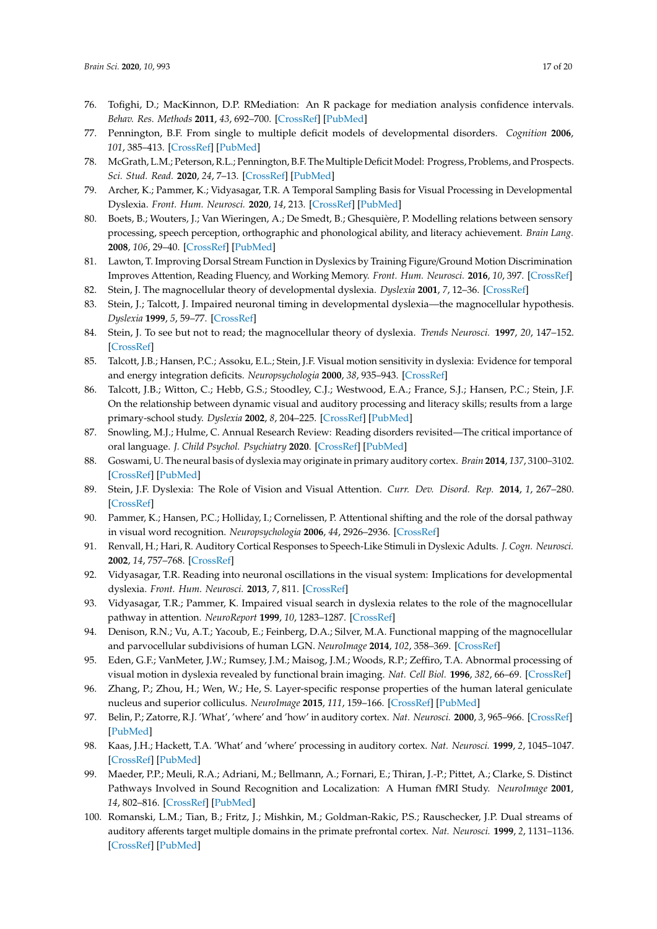- <span id="page-16-0"></span>76. Tofighi, D.; MacKinnon, D.P. RMediation: An R package for mediation analysis confidence intervals. *Behav. Res. Methods* **2011**, *43*, 692–700. [\[CrossRef\]](http://dx.doi.org/10.3758/s13428-011-0076-x) [\[PubMed\]](http://www.ncbi.nlm.nih.gov/pubmed/21487904)
- <span id="page-16-1"></span>77. Pennington, B.F. From single to multiple deficit models of developmental disorders. *Cognition* **2006**, *101*, 385–413. [\[CrossRef\]](http://dx.doi.org/10.1016/j.cognition.2006.04.008) [\[PubMed\]](http://www.ncbi.nlm.nih.gov/pubmed/16844106)
- <span id="page-16-2"></span>78. McGrath, L.M.; Peterson, R.L.; Pennington, B.F. The Multiple Deficit Model: Progress, Problems, and Prospects. *Sci. Stud. Read.* **2020**, *24*, 7–13. [\[CrossRef\]](http://dx.doi.org/10.1080/10888438.2019.1706180) [\[PubMed\]](http://www.ncbi.nlm.nih.gov/pubmed/32440085)
- <span id="page-16-3"></span>79. Archer, K.; Pammer, K.; Vidyasagar, T.R. A Temporal Sampling Basis for Visual Processing in Developmental Dyslexia. *Front. Hum. Neurosci.* **2020**, *14*, 213. [\[CrossRef\]](http://dx.doi.org/10.3389/fnhum.2020.00213) [\[PubMed\]](http://www.ncbi.nlm.nih.gov/pubmed/32733217)
- <span id="page-16-7"></span>80. Boets, B.; Wouters, J.; Van Wieringen, A.; De Smedt, B.; Ghesquière, P. Modelling relations between sensory processing, speech perception, orthographic and phonological ability, and literacy achievement. *Brain Lang.* **2008**, *106*, 29–40. [\[CrossRef\]](http://dx.doi.org/10.1016/j.bandl.2007.12.004) [\[PubMed\]](http://www.ncbi.nlm.nih.gov/pubmed/18207564)
- 81. Lawton, T. Improving Dorsal Stream Function in Dyslexics by Training Figure/Ground Motion Discrimination Improves Attention, Reading Fluency, and Working Memory. *Front. Hum. Neurosci.* **2016**, *10*, 397. [\[CrossRef\]](http://dx.doi.org/10.3389/fnhum.2016.00397)
- <span id="page-16-5"></span>82. Stein, J. The magnocellular theory of developmental dyslexia. *Dyslexia* **2001**, *7*, 12–36. [\[CrossRef\]](http://dx.doi.org/10.1002/dys.186)
- <span id="page-16-6"></span>83. Stein, J.; Talcott, J. Impaired neuronal timing in developmental dyslexia—the magnocellular hypothesis. *Dyslexia* **1999**, *5*, 59–77. [\[CrossRef\]](http://dx.doi.org/10.1002/(SICI)1099-0909(199906)5:2<59::AID-DYS134>3.0.CO;2-F)
- <span id="page-16-8"></span>84. Stein, J. To see but not to read; the magnocellular theory of dyslexia. *Trends Neurosci.* **1997**, *20*, 147–152. [\[CrossRef\]](http://dx.doi.org/10.1016/S0166-2236(96)01005-3)
- <span id="page-16-10"></span>85. Talcott, J.B.; Hansen, P.C.; Assoku, E.L.; Stein, J.F. Visual motion sensitivity in dyslexia: Evidence for temporal and energy integration deficits. *Neuropsychologia* **2000**, *38*, 935–943. [\[CrossRef\]](http://dx.doi.org/10.1016/S0028-3932(00)00020-8)
- <span id="page-16-9"></span>86. Talcott, J.B.; Witton, C.; Hebb, G.S.; Stoodley, C.J.; Westwood, E.A.; France, S.J.; Hansen, P.C.; Stein, J.F. On the relationship between dynamic visual and auditory processing and literacy skills; results from a large primary-school study. *Dyslexia* **2002**, *8*, 204–225. [\[CrossRef\]](http://dx.doi.org/10.1002/dys.224) [\[PubMed\]](http://www.ncbi.nlm.nih.gov/pubmed/12455851)
- 87. Snowling, M.J.; Hulme, C. Annual Research Review: Reading disorders revisited—The critical importance of oral language. *J. Child Psychol. Psychiatry* **2020**. [\[CrossRef\]](http://dx.doi.org/10.1111/jcpp.13324) [\[PubMed\]](http://www.ncbi.nlm.nih.gov/pubmed/32956509)
- <span id="page-16-4"></span>88. Goswami, U. The neural basis of dyslexia may originate in primary auditory cortex. *Brain* **2014**, *137*, 3100–3102. [\[CrossRef\]](http://dx.doi.org/10.1093/brain/awu296) [\[PubMed\]](http://www.ncbi.nlm.nih.gov/pubmed/25413932)
- <span id="page-16-11"></span>89. Stein, J.F. Dyslexia: The Role of Vision and Visual Attention. *Curr. Dev. Disord. Rep.* **2014**, *1*, 267–280. [\[CrossRef\]](http://dx.doi.org/10.1007/s40474-014-0030-6)
- <span id="page-16-12"></span>90. Pammer, K.; Hansen, P.C.; Holliday, I.; Cornelissen, P. Attentional shifting and the role of the dorsal pathway in visual word recognition. *Neuropsychologia* **2006**, *44*, 2926–2936. [\[CrossRef\]](http://dx.doi.org/10.1016/j.neuropsychologia.2006.06.028)
- 91. Renvall, H.; Hari, R. Auditory Cortical Responses to Speech-Like Stimuli in Dyslexic Adults. *J. Cogn. Neurosci.* **2002**, *14*, 757–768. [\[CrossRef\]](http://dx.doi.org/10.1162/08989290260138654)
- 92. Vidyasagar, T.R. Reading into neuronal oscillations in the visual system: Implications for developmental dyslexia. *Front. Hum. Neurosci.* **2013**, *7*, 811. [\[CrossRef\]](http://dx.doi.org/10.3389/fnhum.2013.00811)
- <span id="page-16-13"></span>93. Vidyasagar, T.R.; Pammer, K. Impaired visual search in dyslexia relates to the role of the magnocellular pathway in attention. *NeuroReport* **1999**, *10*, 1283–1287. [\[CrossRef\]](http://dx.doi.org/10.1097/00001756-199904260-00024)
- <span id="page-16-14"></span>94. Denison, R.N.; Vu, A.T.; Yacoub, E.; Feinberg, D.A.; Silver, M.A. Functional mapping of the magnocellular and parvocellular subdivisions of human LGN. *NeuroImage* **2014**, *102*, 358–369. [\[CrossRef\]](http://dx.doi.org/10.1016/j.neuroimage.2014.07.019)
- 95. Eden, G.F.; VanMeter, J.W.; Rumsey, J.M.; Maisog, J.M.; Woods, R.P.; Zeffiro, T.A. Abnormal processing of visual motion in dyslexia revealed by functional brain imaging. *Nat. Cell Biol.* **1996**, *382*, 66–69. [\[CrossRef\]](http://dx.doi.org/10.1038/382066a0)
- <span id="page-16-15"></span>96. Zhang, P.; Zhou, H.; Wen, W.; He, S. Layer-specific response properties of the human lateral geniculate nucleus and superior colliculus. *NeuroImage* **2015**, *111*, 159–166. [\[CrossRef\]](http://dx.doi.org/10.1016/j.neuroimage.2015.02.025) [\[PubMed\]](http://www.ncbi.nlm.nih.gov/pubmed/25703830)
- <span id="page-16-16"></span>97. Belin, P.; Zatorre, R.J. 'What', 'where' and 'how' in auditory cortex. *Nat. Neurosci.* **2000**, *3*, 965–966. [\[CrossRef\]](http://dx.doi.org/10.1038/79890) [\[PubMed\]](http://www.ncbi.nlm.nih.gov/pubmed/11017161)
- 98. Kaas, J.H.; Hackett, T.A. 'What' and 'where' processing in auditory cortex. *Nat. Neurosci.* **1999**, *2*, 1045–1047. [\[CrossRef\]](http://dx.doi.org/10.1038/15967) [\[PubMed\]](http://www.ncbi.nlm.nih.gov/pubmed/10570476)
- 99. Maeder, P.P.; Meuli, R.A.; Adriani, M.; Bellmann, A.; Fornari, E.; Thiran, J.-P.; Pittet, A.; Clarke, S. Distinct Pathways Involved in Sound Recognition and Localization: A Human fMRI Study. *NeuroImage* **2001**, *14*, 802–816. [\[CrossRef\]](http://dx.doi.org/10.1006/nimg.2001.0888) [\[PubMed\]](http://www.ncbi.nlm.nih.gov/pubmed/11554799)
- 100. Romanski, L.M.; Tian, B.; Fritz, J.; Mishkin, M.; Goldman-Rakic, P.S.; Rauschecker, J.P. Dual streams of auditory afferents target multiple domains in the primate prefrontal cortex. *Nat. Neurosci.* **1999**, *2*, 1131–1136. [\[CrossRef\]](http://dx.doi.org/10.1038/16056) [\[PubMed\]](http://www.ncbi.nlm.nih.gov/pubmed/10570492)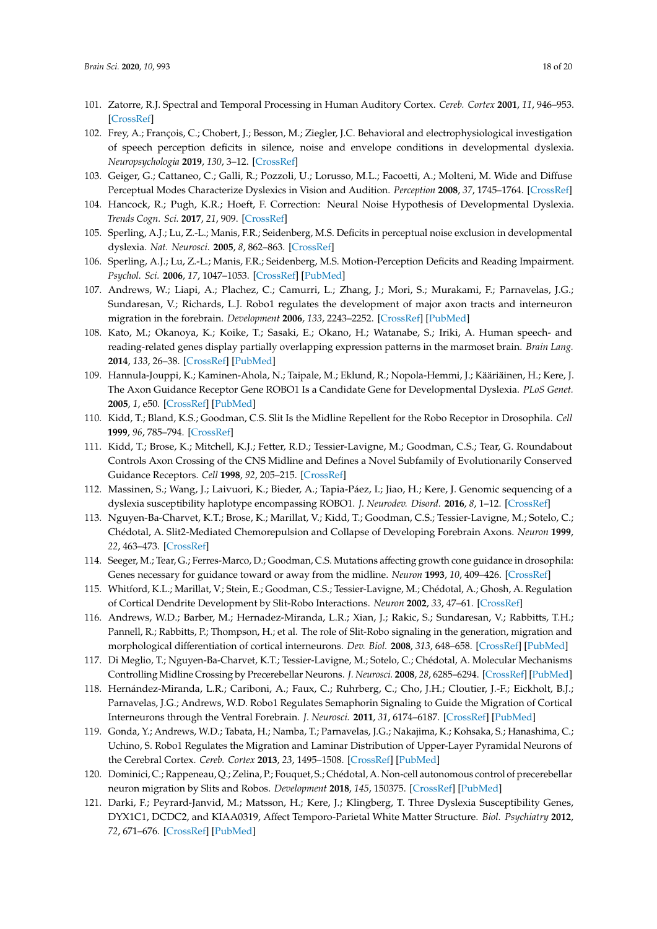- <span id="page-17-0"></span>101. Zatorre, R.J. Spectral and Temporal Processing in Human Auditory Cortex. *Cereb. Cortex* **2001**, *11*, 946–953. [\[CrossRef\]](http://dx.doi.org/10.1093/cercor/11.10.946)
- <span id="page-17-1"></span>102. Frey, A.; François, C.; Chobert, J.; Besson, M.; Ziegler, J.C. Behavioral and electrophysiological investigation of speech perception deficits in silence, noise and envelope conditions in developmental dyslexia. *Neuropsychologia* **2019**, *130*, 3–12. [\[CrossRef\]](http://dx.doi.org/10.1016/j.neuropsychologia.2018.07.033)
- 103. Geiger, G.; Cattaneo, C.; Galli, R.; Pozzoli, U.; Lorusso, M.L.; Facoetti, A.; Molteni, M. Wide and Diffuse Perceptual Modes Characterize Dyslexics in Vision and Audition. *Perception* **2008**, *37*, 1745–1764. [\[CrossRef\]](http://dx.doi.org/10.1068/p6036)
- 104. Hancock, R.; Pugh, K.R.; Hoeft, F. Correction: Neural Noise Hypothesis of Developmental Dyslexia. *Trends Cogn. Sci.* **2017**, *21*, 909. [\[CrossRef\]](http://dx.doi.org/10.1016/j.tics.2017.08.003)
- 105. Sperling, A.J.; Lu, Z.-L.; Manis, F.R.; Seidenberg, M.S. Deficits in perceptual noise exclusion in developmental dyslexia. *Nat. Neurosci.* **2005**, *8*, 862–863. [\[CrossRef\]](http://dx.doi.org/10.1038/nn1474)
- <span id="page-17-2"></span>106. Sperling, A.J.; Lu, Z.-L.; Manis, F.R.; Seidenberg, M.S. Motion-Perception Deficits and Reading Impairment. *Psychol. Sci.* **2006**, *17*, 1047–1053. [\[CrossRef\]](http://dx.doi.org/10.1111/j.1467-9280.2006.01825.x) [\[PubMed\]](http://www.ncbi.nlm.nih.gov/pubmed/17201786)
- <span id="page-17-3"></span>107. Andrews, W.; Liapi, A.; Plachez, C.; Camurri, L.; Zhang, J.; Mori, S.; Murakami, F.; Parnavelas, J.G.; Sundaresan, V.; Richards, L.J. Robo1 regulates the development of major axon tracts and interneuron migration in the forebrain. *Development* **2006**, *133*, 2243–2252. [\[CrossRef\]](http://dx.doi.org/10.1242/dev.02379) [\[PubMed\]](http://www.ncbi.nlm.nih.gov/pubmed/16690755)
- <span id="page-17-4"></span>108. Kato, M.; Okanoya, K.; Koike, T.; Sasaki, E.; Okano, H.; Watanabe, S.; Iriki, A. Human speech- and reading-related genes display partially overlapping expression patterns in the marmoset brain. *Brain Lang.* **2014**, *133*, 26–38. [\[CrossRef\]](http://dx.doi.org/10.1016/j.bandl.2014.03.007) [\[PubMed\]](http://www.ncbi.nlm.nih.gov/pubmed/24769279)
- <span id="page-17-5"></span>109. Hannula-Jouppi, K.; Kaminen-Ahola, N.; Taipale, M.; Eklund, R.; Nopola-Hemmi, J.; Kääriäinen, H.; Kere, J. The Axon Guidance Receptor Gene ROBO1 Is a Candidate Gene for Developmental Dyslexia. *PLoS Genet.* **2005**, *1*, e50. [\[CrossRef\]](http://dx.doi.org/10.1371/journal.pgen.0010050) [\[PubMed\]](http://www.ncbi.nlm.nih.gov/pubmed/16254601)
- 110. Kidd, T.; Bland, K.S.; Goodman, C.S. Slit Is the Midline Repellent for the Robo Receptor in Drosophila. *Cell* **1999**, *96*, 785–794. [\[CrossRef\]](http://dx.doi.org/10.1016/S0092-8674(00)80589-9)
- 111. Kidd, T.; Brose, K.; Mitchell, K.J.; Fetter, R.D.; Tessier-Lavigne, M.; Goodman, C.S.; Tear, G. Roundabout Controls Axon Crossing of the CNS Midline and Defines a Novel Subfamily of Evolutionarily Conserved Guidance Receptors. *Cell* **1998**, *92*, 205–215. [\[CrossRef\]](http://dx.doi.org/10.1016/S0092-8674(00)80915-0)
- 112. Massinen, S.; Wang, J.; Laivuori, K.; Bieder, A.; Tapia-Páez, I.; Jiao, H.; Kere, J. Genomic sequencing of a dyslexia susceptibility haplotype encompassing ROBO1. *J. Neurodev. Disord.* **2016**, *8*, 1–12. [\[CrossRef\]](http://dx.doi.org/10.1186/s11689-016-9136-y)
- 113. Nguyen-Ba-Charvet, K.T.; Brose, K.; Marillat, V.; Kidd, T.; Goodman, C.S.; Tessier-Lavigne, M.; Sotelo, C.; Chédotal, A. Slit2-Mediated Chemorepulsion and Collapse of Developing Forebrain Axons. *Neuron* **1999**, *22*, 463–473. [\[CrossRef\]](http://dx.doi.org/10.1016/S0896-6273(00)80702-3)
- 114. Seeger, M.; Tear, G.; Ferres-Marco, D.; Goodman, C.S. Mutations affecting growth cone guidance in drosophila: Genes necessary for guidance toward or away from the midline. *Neuron* **1993**, *10*, 409–426. [\[CrossRef\]](http://dx.doi.org/10.1016/0896-6273(93)90330-T)
- <span id="page-17-6"></span>115. Whitford, K.L.; Marillat, V.; Stein, E.; Goodman, C.S.; Tessier-Lavigne, M.; Chédotal, A.; Ghosh, A. Regulation of Cortical Dendrite Development by Slit-Robo Interactions. *Neuron* **2002**, *33*, 47–61. [\[CrossRef\]](http://dx.doi.org/10.1016/S0896-6273(01)00566-9)
- <span id="page-17-7"></span>116. Andrews, W.D.; Barber, M.; Hernadez-Miranda, L.R.; Xian, J.; Rakic, S.; Sundaresan, V.; Rabbitts, T.H.; Pannell, R.; Rabbitts, P.; Thompson, H.; et al. The role of Slit-Robo signaling in the generation, migration and morphological differentiation of cortical interneurons. *Dev. Biol.* **2008**, *313*, 648–658. [\[CrossRef\]](http://dx.doi.org/10.1016/j.ydbio.2007.10.052) [\[PubMed\]](http://www.ncbi.nlm.nih.gov/pubmed/18054781)
- 117. Di Meglio, T.; Nguyen-Ba-Charvet, K.T.; Tessier-Lavigne, M.; Sotelo, C.; Chédotal, A. Molecular Mechanisms Controlling Midline Crossing by Precerebellar Neurons. *J. Neurosci.* **2008**, *28*, 6285–6294. [\[CrossRef\]](http://dx.doi.org/10.1523/JNEUROSCI.0078-08.2008) [\[PubMed\]](http://www.ncbi.nlm.nih.gov/pubmed/18562598)
- 118. Hernández-Miranda, L.R.; Cariboni, A.; Faux, C.; Ruhrberg, C.; Cho, J.H.; Cloutier, J.-F.; Eickholt, B.J.; Parnavelas, J.G.; Andrews, W.D. Robo1 Regulates Semaphorin Signaling to Guide the Migration of Cortical Interneurons through the Ventral Forebrain. *J. Neurosci.* **2011**, *31*, 6174–6187. [\[CrossRef\]](http://dx.doi.org/10.1523/JNEUROSCI.5464-10.2011) [\[PubMed\]](http://www.ncbi.nlm.nih.gov/pubmed/21508241)
- 119. Gonda, Y.; Andrews, W.D.; Tabata, H.; Namba, T.; Parnavelas, J.G.; Nakajima, K.; Kohsaka, S.; Hanashima, C.; Uchino, S. Robo1 Regulates the Migration and Laminar Distribution of Upper-Layer Pyramidal Neurons of the Cerebral Cortex. *Cereb. Cortex* **2013**, *23*, 1495–1508. [\[CrossRef\]](http://dx.doi.org/10.1093/cercor/bhs141) [\[PubMed\]](http://www.ncbi.nlm.nih.gov/pubmed/22661412)
- <span id="page-17-8"></span>120. Dominici, C.; Rappeneau, Q.; Zelina, P.; Fouquet, S.; Chédotal, A. Non-cell autonomous control of precerebellar neuron migration by Slits and Robos. *Development* **2018**, *145*, 150375. [\[CrossRef\]](http://dx.doi.org/10.1242/dev.150375) [\[PubMed\]](http://www.ncbi.nlm.nih.gov/pubmed/29343636)
- <span id="page-17-9"></span>121. Darki, F.; Peyrard-Janvid, M.; Matsson, H.; Kere, J.; Klingberg, T. Three Dyslexia Susceptibility Genes, DYX1C1, DCDC2, and KIAA0319, Affect Temporo-Parietal White Matter Structure. *Biol. Psychiatry* **2012**, *72*, 671–676. [\[CrossRef\]](http://dx.doi.org/10.1016/j.biopsych.2012.05.008) [\[PubMed\]](http://www.ncbi.nlm.nih.gov/pubmed/22683091)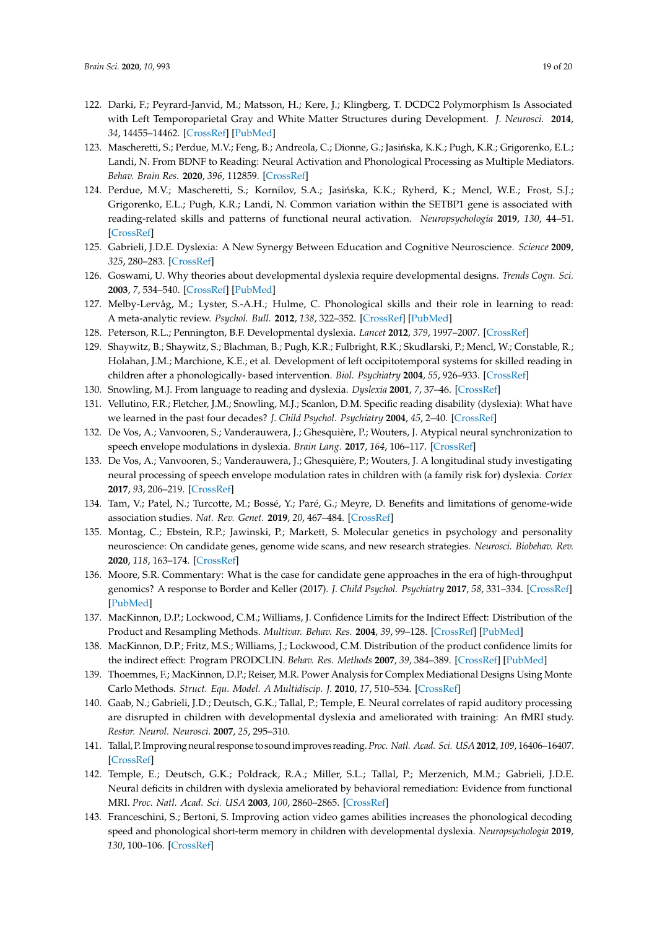- 122. Darki, F.; Peyrard-Janvid, M.; Matsson, H.; Kere, J.; Klingberg, T. DCDC2 Polymorphism Is Associated with Left Temporoparietal Gray and White Matter Structures during Development. *J. Neurosci.* **2014**, *34*, 14455–14462. [\[CrossRef\]](http://dx.doi.org/10.1523/JNEUROSCI.1216-14.2014) [\[PubMed\]](http://www.ncbi.nlm.nih.gov/pubmed/25339756)
- 123. Mascheretti, S.; Perdue, M.V.; Feng, B.; Andreola, C.; Dionne, G.; Jasińska, K.K.; Pugh, K.R.; Grigorenko, E.L.; Landi, N. From BDNF to Reading: Neural Activation and Phonological Processing as Multiple Mediators. *Behav. Brain Res.* **2020**, *396*, 112859. [\[CrossRef\]](http://dx.doi.org/10.1016/j.bbr.2020.112859)
- <span id="page-18-0"></span>124. Perdue, M.V.; Mascheretti, S.; Kornilov, S.A.; Jasińska, K.K.; Ryherd, K.; Mencl, W.E.; Frost, S.J.; Grigorenko, E.L.; Pugh, K.R.; Landi, N. Common variation within the SETBP1 gene is associated with reading-related skills and patterns of functional neural activation. *Neuropsychologia* **2019**, *130*, 44–51. [\[CrossRef\]](http://dx.doi.org/10.1016/j.neuropsychologia.2018.07.015)
- <span id="page-18-1"></span>125. Gabrieli, J.D.E. Dyslexia: A New Synergy Between Education and Cognitive Neuroscience. *Science* **2009**, *325*, 280–283. [\[CrossRef\]](http://dx.doi.org/10.1126/science.1171999)
- 126. Goswami, U. Why theories about developmental dyslexia require developmental designs. *Trends Cogn. Sci.* **2003**, *7*, 534–540. [\[CrossRef\]](http://dx.doi.org/10.1016/j.tics.2003.10.003) [\[PubMed\]](http://www.ncbi.nlm.nih.gov/pubmed/14643369)
- 127. Melby-Lervåg, M.; Lyster, S.-A.H.; Hulme, C. Phonological skills and their role in learning to read: A meta-analytic review. *Psychol. Bull.* **2012**, *138*, 322–352. [\[CrossRef\]](http://dx.doi.org/10.1037/a0026744) [\[PubMed\]](http://www.ncbi.nlm.nih.gov/pubmed/22250824)
- 128. Peterson, R.L.; Pennington, B.F. Developmental dyslexia. *Lancet* **2012**, *379*, 1997–2007. [\[CrossRef\]](http://dx.doi.org/10.1016/S0140-6736(12)60198-6)
- 129. Shaywitz, B.; Shaywitz, S.; Blachman, B.; Pugh, K.R.; Fulbright, R.K.; Skudlarski, P.; Mencl, W.; Constable, R.; Holahan, J.M.; Marchione, K.E.; et al. Development of left occipitotemporal systems for skilled reading in children after a phonologically- based intervention. *Biol. Psychiatry* **2004**, *55*, 926–933. [\[CrossRef\]](http://dx.doi.org/10.1016/j.biopsych.2003.12.019)
- <span id="page-18-2"></span>130. Snowling, M.J. From language to reading and dyslexia. *Dyslexia* **2001**, *7*, 37–46. [\[CrossRef\]](http://dx.doi.org/10.1002/dys.185)
- 131. Vellutino, F.R.; Fletcher, J.M.; Snowling, M.J.; Scanlon, D.M. Specific reading disability (dyslexia): What have we learned in the past four decades? *J. Child Psychol. Psychiatry* **2004**, *45*, 2–40. [\[CrossRef\]](http://dx.doi.org/10.1046/j.0021-9630.2003.00305.x)
- <span id="page-18-3"></span>132. De Vos, A.; Vanvooren, S.; Vanderauwera, J.; Ghesquière, P.; Wouters, J. Atypical neural synchronization to speech envelope modulations in dyslexia. *Brain Lang.* **2017**, *164*, 106–117. [\[CrossRef\]](http://dx.doi.org/10.1016/j.bandl.2016.10.002)
- <span id="page-18-4"></span>133. De Vos, A.; Vanvooren, S.; Vanderauwera, J.; Ghesquière, P.; Wouters, J. A longitudinal study investigating neural processing of speech envelope modulation rates in children with (a family risk for) dyslexia. *Cortex* **2017**, *93*, 206–219. [\[CrossRef\]](http://dx.doi.org/10.1016/j.cortex.2017.05.007)
- <span id="page-18-5"></span>134. Tam, V.; Patel, N.; Turcotte, M.; Bossé, Y.; Paré, G.; Meyre, D. Benefits and limitations of genome-wide association studies. *Nat. Rev. Genet.* **2019**, *20*, 467–484. [\[CrossRef\]](http://dx.doi.org/10.1038/s41576-019-0127-1)
- <span id="page-18-6"></span>135. Montag, C.; Ebstein, R.P.; Jawinski, P.; Markett, S. Molecular genetics in psychology and personality neuroscience: On candidate genes, genome wide scans, and new research strategies. *Neurosci. Biobehav. Rev.* **2020**, *118*, 163–174. [\[CrossRef\]](http://dx.doi.org/10.1016/j.neubiorev.2020.06.020)
- <span id="page-18-7"></span>136. Moore, S.R. Commentary: What is the case for candidate gene approaches in the era of high-throughput genomics? A response to Border and Keller (2017). *J. Child Psychol. Psychiatry* **2017**, *58*, 331–334. [\[CrossRef\]](http://dx.doi.org/10.1111/jcpp.12697) [\[PubMed\]](http://www.ncbi.nlm.nih.gov/pubmed/28194764)
- <span id="page-18-8"></span>137. MacKinnon, D.P.; Lockwood, C.M.; Williams, J. Confidence Limits for the Indirect Effect: Distribution of the Product and Resampling Methods. *Multivar. Behav. Res.* **2004**, *39*, 99–128. [\[CrossRef\]](http://dx.doi.org/10.1207/s15327906mbr3901_4) [\[PubMed\]](http://www.ncbi.nlm.nih.gov/pubmed/20157642)
- 138. MacKinnon, D.P.; Fritz, M.S.; Williams, J.; Lockwood, C.M. Distribution of the product confidence limits for the indirect effect: Program PRODCLIN. *Behav. Res. Methods* **2007**, *39*, 384–389. [\[CrossRef\]](http://dx.doi.org/10.3758/BF03193007) [\[PubMed\]](http://www.ncbi.nlm.nih.gov/pubmed/17958149)
- <span id="page-18-9"></span>139. Thoemmes, F.; MacKinnon, D.P.; Reiser, M.R. Power Analysis for Complex Mediational Designs Using Monte Carlo Methods. *Struct. Equ. Model. A Multidiscip. J.* **2010**, *17*, 510–534. [\[CrossRef\]](http://dx.doi.org/10.1080/10705511.2010.489379)
- <span id="page-18-10"></span>140. Gaab, N.; Gabrieli, J.D.; Deutsch, G.K.; Tallal, P.; Temple, E. Neural correlates of rapid auditory processing are disrupted in children with developmental dyslexia and ameliorated with training: An fMRI study. *Restor. Neurol. Neurosci.* **2007**, *25*, 295–310.
- 141. Tallal, P. Improving neural response to soundimproves reading.*Proc. Natl. Acad. Sci. USA***2012**, *109*, 16406–16407. [\[CrossRef\]](http://dx.doi.org/10.1073/pnas.1214122109)
- 142. Temple, E.; Deutsch, G.K.; Poldrack, R.A.; Miller, S.L.; Tallal, P.; Merzenich, M.M.; Gabrieli, J.D.E. Neural deficits in children with dyslexia ameliorated by behavioral remediation: Evidence from functional MRI. *Proc. Natl. Acad. Sci. USA* **2003**, *100*, 2860–2865. [\[CrossRef\]](http://dx.doi.org/10.1073/pnas.0030098100)
- 143. Franceschini, S.; Bertoni, S. Improving action video games abilities increases the phonological decoding speed and phonological short-term memory in children with developmental dyslexia. *Neuropsychologia* **2019**, *130*, 100–106. [\[CrossRef\]](http://dx.doi.org/10.1016/j.neuropsychologia.2018.10.023)